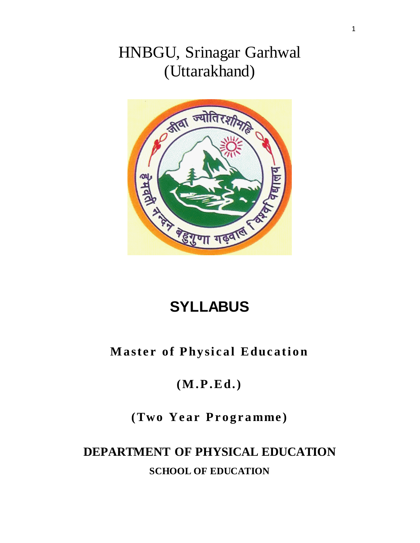# HNBGU, Srinagar Garhwal (Uttarakhand)



# **SYLLABUS**

# **Master of Physical Education**

# **(M .P .Ed.)**

# **(Two Year Programme)**

# **DEPARTMENT OF PHYSICAL EDUCATION SCHOOL OF EDUCATION**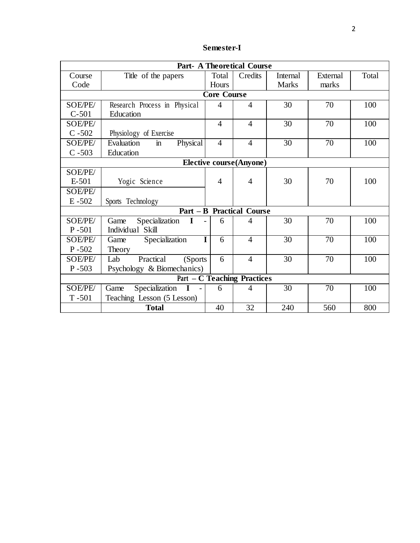| Semester-I |
|------------|
|------------|

| <b>Part- A Theoretical Course</b>  |                                        |                    |                                  |                 |                 |       |  |
|------------------------------------|----------------------------------------|--------------------|----------------------------------|-----------------|-----------------|-------|--|
| Course                             | Title of the papers                    | Total              | Credits                          | Internal        | External        | Total |  |
| Code                               |                                        | Hours              |                                  | <b>Marks</b>    | marks           |       |  |
|                                    |                                        | <b>Core Course</b> |                                  |                 |                 |       |  |
| <b>SOE/PE/</b>                     | Research Process in Physical           | 4                  | $\overline{4}$                   | 30              | 70              | 100   |  |
| $C-501$                            | Education                              |                    |                                  |                 |                 |       |  |
| SOE/PE/                            |                                        | $\overline{4}$     | $\overline{4}$                   | 30              | 70              | 100   |  |
| $C - 502$                          | Physiology of Exercise                 |                    |                                  |                 |                 |       |  |
| SOE/PE/                            | Evaluation<br>Physical<br>$\mathbf{m}$ | $\overline{4}$     | $\overline{4}$                   | $\overline{30}$ | $\overline{70}$ | 100   |  |
| $C - 503$                          | Education                              |                    |                                  |                 |                 |       |  |
|                                    |                                        |                    | <b>Elective course(Anyone)</b>   |                 |                 |       |  |
| SOE/PE/                            |                                        |                    |                                  |                 |                 |       |  |
| $E-501$                            | Yogic Science                          | $\overline{4}$     | $\overline{4}$                   | 30              | 70              | 100   |  |
| <b>SOE/PE/</b>                     |                                        |                    |                                  |                 |                 |       |  |
| $E - 502$                          | Sports Technology                      |                    |                                  |                 |                 |       |  |
|                                    |                                        |                    | <b>Part - B Practical Course</b> |                 |                 |       |  |
| <b>SOE/PE/</b>                     | Specialization<br>$\mathbf{I}$<br>Game | 6                  | $\overline{4}$                   | 30              | 70              | 100   |  |
| $P - 501$                          | Individual Skill                       |                    |                                  |                 |                 |       |  |
| <b>SOE/PE/</b>                     | Specialization<br>Game                 | I<br>6             | $\overline{4}$                   | 30              | 70              | 100   |  |
| $P - 502$                          | Theory                                 |                    |                                  |                 |                 |       |  |
| <b>SOE/PE/</b>                     | Practical<br>Lab<br>(Sports)           | 6                  | $\overline{4}$                   | 30              | 70              | 100   |  |
| $P - 503$                          | Psychology & Biomechanics)             |                    |                                  |                 |                 |       |  |
| <b>Part - C Teaching Practices</b> |                                        |                    |                                  |                 |                 |       |  |
| <b>SOE/PE/</b>                     | Specialization<br>Game                 | 6                  | 4                                | 30              | 70              | 100   |  |
| $T - 501$                          | Teaching Lesson (5 Lesson)             |                    |                                  |                 |                 |       |  |
|                                    | <b>Total</b>                           | 40                 | 32                               | 240             | 560             | 800   |  |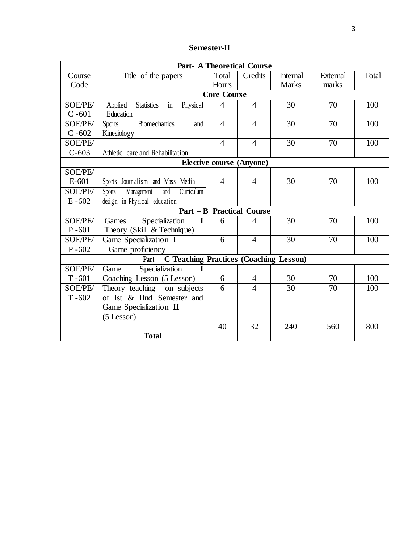| <b>Semester-II</b> |  |
|--------------------|--|
|--------------------|--|

| <b>Part- A Theoretical Course</b> |                                                      |                    |                                  |                 |                 |       |  |
|-----------------------------------|------------------------------------------------------|--------------------|----------------------------------|-----------------|-----------------|-------|--|
| Course                            | Title of the papers                                  | Total              | Credits                          | <b>Internal</b> | External        | Total |  |
| Code                              |                                                      | Hours              |                                  | <b>Marks</b>    | marks           |       |  |
|                                   |                                                      | <b>Core Course</b> |                                  |                 |                 |       |  |
| SOE/PE/                           | <b>Statistics</b><br>Physical<br>Applied<br>in       | $\overline{4}$     | $\overline{4}$                   | 30              | 70              | 100   |  |
| $C - 601$                         | Education                                            |                    |                                  |                 |                 |       |  |
| SOE/PE/                           | <b>Biomechanics</b><br><b>Sports</b><br>and          | $\overline{4}$     | $\overline{4}$                   | 30              | 70              | 100   |  |
| $C - 602$                         | Kinesiology                                          |                    |                                  |                 |                 |       |  |
| SOE/PE/                           |                                                      | $\overline{4}$     | $\overline{4}$                   | $\overline{30}$ | $\overline{70}$ | 100   |  |
| $C - 603$                         | Athletic care and Rehabilitation                     |                    |                                  |                 |                 |       |  |
|                                   |                                                      |                    | <b>Elective course (Anyone)</b>  |                 |                 |       |  |
| SOE/PE/                           |                                                      |                    |                                  |                 |                 |       |  |
| $E-601$                           | Sports Journalism and Mass Media                     | 4                  | $\overline{4}$                   | 30              | 70              | 100   |  |
| SOE/PE/                           | Curriculum<br>Management<br>Sports<br>and            |                    |                                  |                 |                 |       |  |
| $E - 602$                         | design in Physical education                         |                    |                                  |                 |                 |       |  |
|                                   |                                                      |                    | <b>Part - B Practical Course</b> |                 |                 |       |  |
| SOE/PE/                           | Specialization<br>I<br>Games                         | 6                  | 4                                | 30              | 70              | 100   |  |
| $P - 601$                         | Theory (Skill & Technique)                           |                    |                                  |                 |                 |       |  |
| SOE/PE/                           | Game Specialization I                                | 6                  | $\overline{4}$                   | $\overline{30}$ | 70              | 100   |  |
| $P - 602$                         | - Game proficiency                                   |                    |                                  |                 |                 |       |  |
|                                   | <b>Part - C Teaching Practices (Coaching Lesson)</b> |                    |                                  |                 |                 |       |  |
| SOE/PE/                           | Specialization<br>Game                               |                    |                                  |                 |                 |       |  |
| $T - 601$                         | Coaching Lesson (5 Lesson)                           | 6                  | $\overline{4}$                   | 30              | 70              | 100   |  |
| SOE/PE/                           | Theory teaching<br>on subjects                       | $\overline{6}$     | $\overline{4}$                   | $\overline{30}$ | $\overline{70}$ | 100   |  |
| $T - 602$                         | of Ist & IInd Semester and                           |                    |                                  |                 |                 |       |  |
|                                   | Game Specialization II                               |                    |                                  |                 |                 |       |  |
|                                   | (5 Lesson)                                           |                    |                                  |                 |                 |       |  |
|                                   |                                                      | 40                 | 32                               | 240             | 560             | 800   |  |
|                                   | <b>Total</b>                                         |                    |                                  |                 |                 |       |  |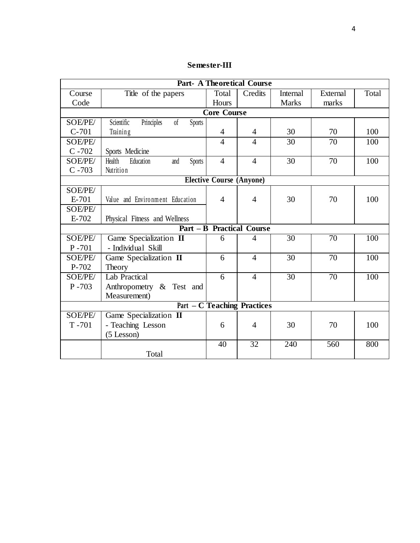| Semester-III |
|--------------|
|              |

| <b>Part- A Theoretical Course</b>  |                                                     |                                 |                                  |                 |          |                  |  |
|------------------------------------|-----------------------------------------------------|---------------------------------|----------------------------------|-----------------|----------|------------------|--|
| Course                             | Title of the papers                                 | Total                           | Credits                          | <b>Internal</b> | External | Total            |  |
| Code                               |                                                     | Hours                           |                                  | <b>Marks</b>    | marks    |                  |  |
|                                    |                                                     | <b>Core Course</b>              |                                  |                 |          |                  |  |
| SOE/PE/                            | Principles<br>Scientific<br><sub>of</sub><br>Sports |                                 |                                  |                 |          |                  |  |
| $C-701$                            | Training                                            | $\overline{4}$                  | 4                                | 30              | 70       | 100              |  |
| <b>SOE/PE/</b>                     |                                                     | 4                               | 4                                | 30              | 70       | 100              |  |
| $C - 702$                          | Sports Medicine                                     |                                 |                                  |                 |          |                  |  |
| SOE/PE/                            | Health<br>Education<br>Sports<br>and                | $\overline{4}$                  | $\overline{4}$                   | 30              | 70       | 100              |  |
| $C - 703$                          | Nutrition                                           |                                 |                                  |                 |          |                  |  |
|                                    |                                                     | <b>Elective Course (Anyone)</b> |                                  |                 |          |                  |  |
| SOE/PE/                            |                                                     |                                 |                                  |                 |          |                  |  |
| E-701                              | Value and Environment Education                     | 4                               | 4                                | 30              | 70       | 100              |  |
| <b>SOE/PE/</b>                     |                                                     |                                 |                                  |                 |          |                  |  |
| E-702                              | Physical Fitness and Wellness                       |                                 |                                  |                 |          |                  |  |
|                                    |                                                     |                                 | <b>Part - B Practical Course</b> |                 |          |                  |  |
| <b>SOE/PE/</b>                     | Game Specialization II                              | 6                               | 4                                | $\overline{30}$ | 70       | $\overline{100}$ |  |
| $P - 701$                          | - Individual Skill                                  |                                 |                                  |                 |          |                  |  |
| <b>SOE/PE/</b>                     | Game Specialization II                              | 6                               | $\overline{4}$                   | 30              | 70       | 100              |  |
| P-702                              | Theory                                              |                                 |                                  |                 |          |                  |  |
| SOE/PE/                            | <b>Lab Practical</b>                                | 6                               | $\overline{4}$                   | 30              | 70       | 100              |  |
| $P - 703$                          | Anthropometry & Test and                            |                                 |                                  |                 |          |                  |  |
|                                    | Measurement)                                        |                                 |                                  |                 |          |                  |  |
| <b>Part – C Teaching Practices</b> |                                                     |                                 |                                  |                 |          |                  |  |
| <b>SOE/PE/</b>                     | Game Specialization II                              |                                 |                                  |                 |          |                  |  |
| $T - 701$                          | - Teaching Lesson                                   | 6                               | $\overline{4}$                   | 30              | 70       | 100              |  |
|                                    | $(5$ Lesson)                                        |                                 |                                  |                 |          |                  |  |
|                                    |                                                     | 40                              | $\overline{32}$                  | 240             | 560      | 800              |  |
|                                    | Total                                               |                                 |                                  |                 |          |                  |  |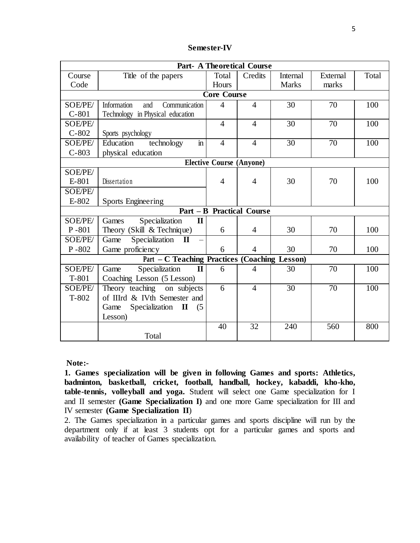| <b>Semester-IV</b> |
|--------------------|
|--------------------|

| <b>Part- A Theoretical Course</b> |                                                      |                    |                                  |                 |                 |       |  |
|-----------------------------------|------------------------------------------------------|--------------------|----------------------------------|-----------------|-----------------|-------|--|
| Course                            | Title of the papers                                  | Total              | Credits                          | <b>Internal</b> | External        | Total |  |
| Code                              |                                                      | Hours              |                                  | <b>Marks</b>    | marks           |       |  |
|                                   |                                                      | <b>Core Course</b> |                                  |                 |                 |       |  |
| SOE/PE/                           | Information<br>Communication<br>and                  | $\overline{4}$     | $\overline{4}$                   | 30              | 70              | 100   |  |
| $C-801$                           | Technology in Physical education                     |                    |                                  |                 |                 |       |  |
| SOE/PE/                           |                                                      | $\overline{4}$     | $\overline{4}$                   | 30              | 70              | 100   |  |
| $C-802$                           | Sports psychology                                    |                    |                                  |                 |                 |       |  |
| SOE/PE/                           | $\overline{\text{in}}$<br>Education<br>technology    | $\overline{4}$     | $\overline{4}$                   | $\overline{30}$ | $\overline{70}$ | 100   |  |
| $C-803$                           | physical education                                   |                    |                                  |                 |                 |       |  |
| <b>Elective Course (Anyone)</b>   |                                                      |                    |                                  |                 |                 |       |  |
| SOE/PE/                           |                                                      |                    |                                  |                 |                 |       |  |
| E-801                             | Dissertation                                         | $\overline{4}$     | $\overline{4}$                   | 30              | 70              | 100   |  |
| SOE/PE/                           |                                                      |                    |                                  |                 |                 |       |  |
| E-802                             | <b>Sports Engineering</b>                            |                    |                                  |                 |                 |       |  |
|                                   |                                                      |                    | <b>Part - B Practical Course</b> |                 |                 |       |  |
| SOE/PE/                           | Specialization<br>Games<br>$\mathbf I$               |                    |                                  |                 |                 |       |  |
| $P - 801$                         | Theory (Skill & Technique)                           | 6                  | 4                                | 30              | 70              | 100   |  |
| SOE/PE/                           | Specialization<br>Game<br>$\mathbf{I}$               |                    |                                  |                 |                 |       |  |
| $P - 802$                         | Game proficiency                                     | 6                  | $\overline{4}$                   | 30              | 70              | 100   |  |
|                                   | <b>Part - C Teaching Practices (Coaching Lesson)</b> |                    |                                  |                 |                 |       |  |
| SOE/PE/                           | Specialization<br>$\mathbf{I}$<br>Game               | 6                  | $\overline{4}$                   | 30              | 70              | 100   |  |
| $T-801$                           | Coaching Lesson (5 Lesson)                           |                    |                                  |                 |                 |       |  |
| SOE/PE/                           | Theory teaching on subjects                          | $\overline{6}$     | $\overline{4}$                   | 30              | 70              | 100   |  |
| $T-802$                           | of IIIrd & IVth Semester and                         |                    |                                  |                 |                 |       |  |
|                                   | Specialization II<br>Game<br>(5)                     |                    |                                  |                 |                 |       |  |
|                                   | Lesson)                                              |                    |                                  |                 |                 |       |  |
|                                   |                                                      | 40                 | 32                               | 240             | 560             | 800   |  |
|                                   | Total                                                |                    |                                  |                 |                 |       |  |

**Note:-**

**1. Games specialization will be given in following Games and sports: Athletics, badminton, basketball, cricket, football, handball, hockey, kabaddi, kho-kho, table-tennis, volleyball and yoga.** Student will select one Game specialization for I and II semester **(Game Specialization I)** and one more Game specialization for III and IV semester **(Game Specialization II**)

2. The Games specialization in a particular games and sports discipline will run by the department only if at least 3 students opt for a particular games and sports and availability of teacher of Games specialization.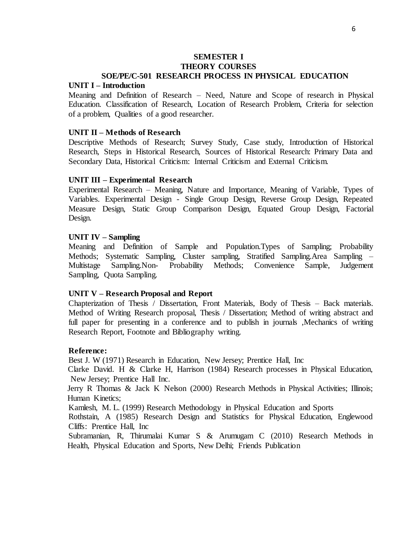## **SEMESTER I THEORY COURSES SOE/PE/C-501 RESEARCH PROCESS IN PHYSICAL EDUCATION**

#### **UNIT I – Introduction**

Meaning and Definition of Research – Need, Nature and Scope of research in Physical Education. Classification of Research, Location of Research Problem, Criteria for selection of a problem, Qualities of a good researcher.

#### **UNIT II – Methods of Research**

Descriptive Methods of Research; Survey Study, Case study, Introduction of Historical Research, Steps in Historical Research, Sources of Historical Research: Primary Data and Secondary Data, Historical Criticism: Internal Criticism and External Criticism.

#### **UNIT III – Experimental Research**

Experimental Research – Meaning, Nature and Importance, Meaning of Variable, Types of Variables. Experimental Design - Single Group Design, Reverse Group Design, Repeated Measure Design, Static Group Comparison Design, Equated Group Design, Factorial Design.

#### **UNIT IV – Sampling**

Meaning and Definition of Sample and Population.Types of Sampling; Probability Methods; Systematic Sampling, Cluster sampling, Stratified Sampling.Area Sampling – Multistage Sampling.Non- Probability Methods; Convenience Sample, Judgement Sampling, Quota Sampling.

#### **UNIT V – Research Proposal and Report**

Chapterization of Thesis / Dissertation, Front Materials, Body of Thesis – Back materials. Method of Writing Research proposal, Thesis / Dissertation; Method of writing abstract and full paper for presenting in a conference and to publish in journals ,Mechanics of writing Research Report, Footnote and Bibliography writing.

#### **Reference:**

Best J. W (1971) Research in Education, New Jersey; Prentice Hall, Inc

Clarke David. H & Clarke H, Harrison (1984) Research processes in Physical Education, New Jersey; Prentice Hall Inc.

Jerry R Thomas & Jack K Nelson (2000) Research Methods in Physical Activities; Illinois; Human Kinetics;

Kamlesh, M. L. (1999) Research Methodology in Physical Education and Sports

Rothstain, A (1985) Research Design and Statistics for Physical Education, Englewood Cliffs: Prentice Hall, Inc

Subramanian, R, Thirumalai Kumar S & Arumugam C (2010) Research Methods in Health, Physical Education and Sports, New Delhi; Friends Publication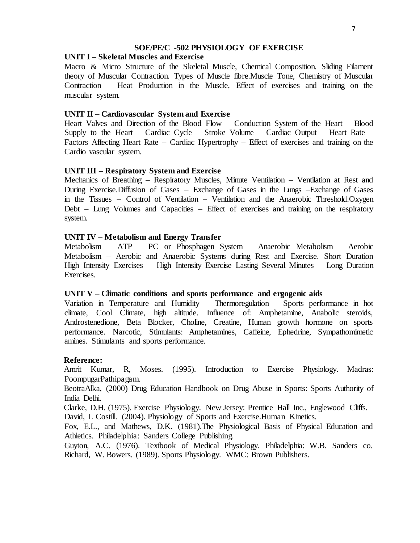## **SOE/PE/C -502 PHYSIOLOGY OF EXERCISE**

# **UNIT I – Skeletal Muscles and Exercise**

Macro & Micro Structure of the Skeletal Muscle, Chemical Composition. Sliding Filament theory of Muscular Contraction. Types of Muscle fibre.Muscle Tone, Chemistry of Muscular Contraction – Heat Production in the Muscle, Effect of exercises and training on the muscular system.

# **UNIT II – Cardiovascular System and Exercise**

Heart Valves and Direction of the Blood Flow – Conduction System of the Heart – Blood Supply to the Heart – Cardiac Cycle – Stroke Volume – Cardiac Output – Heart Rate – Factors Affecting Heart Rate – Cardiac Hypertrophy – Effect of exercises and training on the Cardio vascular system.

## **UNIT III – Respiratory System and Exercise**

Mechanics of Breathing – Respiratory Muscles, Minute Ventilation – Ventilation at Rest and During Exercise.Diffusion of Gases – Exchange of Gases in the Lungs –Exchange of Gases in the Tissues – Control of Ventilation – Ventilation and the Anaerobic Threshold.Oxygen Debt – Lung Volumes and Capacities – Effect of exercises and training on the respiratory system.

# **UNIT IV – Metabolism and Energy Transfer**

Metabolism – ATP – PC or Phosphagen System – Anaerobic Metabolism – Aerobic Metabolism – Aerobic and Anaerobic Systems during Rest and Exercise. Short Duration High Intensity Exercises – High Intensity Exercise Lasting Several Minutes – Long Duration Exercises.

## **UNIT V – Climatic conditions and sports performance and ergogenic aids**

Variation in Temperature and Humidity – Thermoregulation – Sports performance in hot climate, Cool Climate, high altitude. Influence of: Amphetamine, Anabolic steroids, Androstenedione, Beta Blocker, Choline, Creatine, Human growth hormone on sports performance. Narcotic, Stimulants: Amphetamines, Caffeine, Ephedrine, Sympathomimetic amines. Stimulants and sports performance.

## **Reference:**

Amrit Kumar, R, Moses. (1995). Introduction to Exercise Physiology. Madras: PoompugarPathipagam.

BeotraAlka, (2000) Drug Education Handbook on Drug Abuse in Sports: Sports Authority of India Delhi.

Clarke, D.H. (1975). Exercise Physiology. New Jersey: Prentice Hall Inc., Englewood Cliffs. David, L Costill. (2004). Physiology of Sports and Exercise.Human Kinetics.

Fox, E.L., and Mathews, D.K. (1981).The Physiological Basis of Physical Education and Athletics. Philadelphia: Sanders College Publishing.

Guyton, A.C. (1976). Textbook of Medical Physiology. Philadelphia: W.B. Sanders co. Richard, W. Bowers. (1989). Sports Physiology. WMC: Brown Publishers.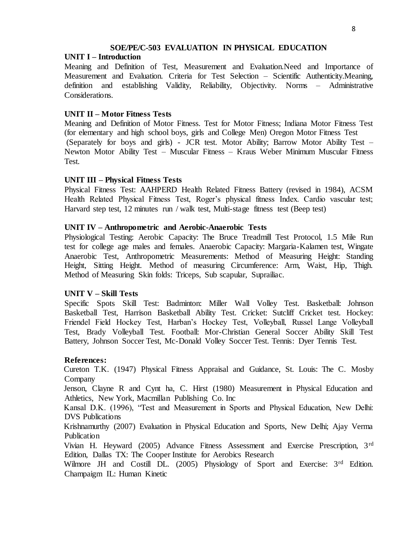## **SOE/PE/C-503 EVALUATION IN PHYSICAL EDUCATION**

## **UNIT I – Introduction**

Meaning and Definition of Test, Measurement and Evaluation.Need and Importance of Measurement and Evaluation. Criteria for Test Selection – Scientific Authenticity.Meaning, definition and establishing Validity, Reliability, Objectivity. Norms – Administrative Considerations.

# **UNIT II – Motor Fitness Tests**

Meaning and Definition of Motor Fitness. Test for Motor Fitness; Indiana Motor Fitness Test (for elementary and high school boys, girls and College Men) Oregon Motor Fitness Test (Separately for boys and girls) - JCR test. Motor Ability; Barrow Motor Ability Test – Newton Motor Ability Test – Muscular Fitness – Kraus Weber Minimum Muscular Fitness Test.

## **UNIT III – Physical Fitness Tests**

Physical Fitness Test: AAHPERD Health Related Fitness Battery (revised in 1984), ACSM Health Related Physical Fitness Test, Roger's physical fitness Index. Cardio vascular test; Harvard step test, 12 minutes run / walk test, Multi-stage fitness test (Beep test)

## **UNIT IV – Anthropometric and Aerobic-Anaerobic Tests**

Physiological Testing: Aerobic Capacity: The Bruce Treadmill Test Protocol, 1.5 Mile Run test for college age males and females. Anaerobic Capacity: Margaria-Kalamen test, Wingate Anaerobic Test, Anthropometric Measurements: Method of Measuring Height: Standing Height, Sitting Height. Method of measuring Circumference: Arm, Waist, Hip, Thigh. Method of Measuring Skin folds: Triceps, Sub scapular, Suprailiac.

## **UNIT V – Skill Tests**

Specific Spots Skill Test: Badminton: Miller Wall Volley Test. Basketball: Johnson Basketball Test, Harrison Basketball Ability Test. Cricket: Sutcliff Cricket test. Hockey: Friendel Field Hockey Test, Harban's Hockey Test, Volleyball, Russel Lange Volleyball Test, Brady Volleyball Test. Football: Mor-Christian General Soccer Ability Skill Test Battery, Johnson Soccer Test, Mc-Donald Volley Soccer Test. Tennis: Dyer Tennis Test.

## **References:**

Cureton T.K. (1947) Physical Fitness Appraisal and Guidance, St. Louis: The C. Mosby Company

Jenson, Clayne R and Cynt ha, C. Hirst (1980) Measurement in Physical Education and Athletics, New York, Macmillan Publishing Co. Inc

Kansal D.K. (1996), "Test and Measurement in Sports and Physical Education, New Delhi: DVS Publications

Krishnamurthy (2007) Evaluation in Physical Education and Sports, New Delhi; Ajay Verma Publication

Vivian H. Heyward (2005) Advance Fitness Assessment and Exercise Prescription, 3rd Edition, Dallas TX: The Cooper Institute for Aerobics Research

Wilmore JH and Costill DL. (2005) Physiology of Sport and Exercise: 3<sup>rd</sup> Edition. Champaigm IL: Human Kinetic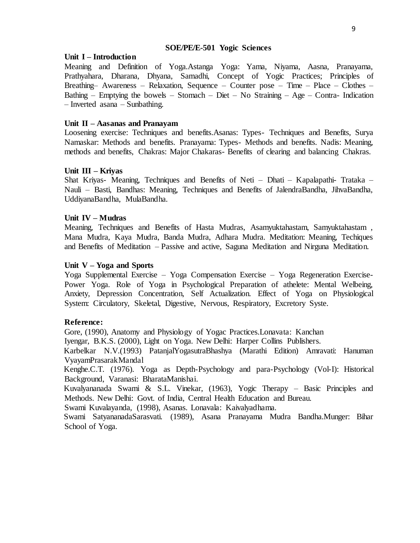#### **SOE/PE/E-501 Yogic Sciences**

#### **Unit I – Introduction**

Meaning and Definition of Yoga.Astanga Yoga: Yama, Niyama, Aasna, Pranayama, Prathyahara, Dharana, Dhyana, Samadhi, Concept of Yogic Practices; Principles of Breathing– Awareness – Relaxation, Sequence – Counter pose – Time – Place – Clothes – Bathing – Emptying the bowels – Stomach – Diet – No Straining – Age – Contra-Indication – Inverted asana – Sunbathing.

#### **Unit II – Aasanas and Pranayam**

Loosening exercise: Techniques and benefits.Asanas: Types- Techniques and Benefits, Surya Namaskar: Methods and benefits. Pranayama: Types- Methods and benefits. Nadis: Meaning, methods and benefits, Chakras: Major Chakaras- Benefits of clearing and balancing Chakras.

#### **Unit III – Kriyas**

Shat Kriyas- Meaning, Techniques and Benefits of Neti – Dhati – Kapalapathi- Trataka – Nauli – Basti, Bandhas: Meaning, Techniques and Benefits of JalendraBandha, JihvaBandha, UddiyanaBandha, MulaBandha.

### **Unit IV – Mudras**

Meaning, Techniques and Benefits of Hasta Mudras, Asamyuktahastam, Samyuktahastam , Mana Mudra, Kaya Mudra, Banda Mudra, Adhara Mudra. Meditation: Meaning, Techiques and Benefits of Meditation – Passive and active, Saguna Meditation and Nirguna Meditation.

## **Unit V – Yoga and Sports**

Yoga Supplemental Exercise – Yoga Compensation Exercise – Yoga Regeneration Exercise-Power Yoga. Role of Yoga in Psychological Preparation of athelete: Mental Welbeing, Anxiety, Depression Concentration, Self Actualization. Effect of Yoga on Physiological System: Circulatory, Skeletal, Digestive, Nervous, Respiratory, Excretory Syste.

## **Reference:**

Gore, (1990), Anatomy and Physiology of Yogac Practices.Lonavata: Kanchan

Iyengar, B.K.S. (2000), Light on Yoga. New Delhi: Harper Collins Publishers.

Karbelkar N.V.(1993) PatanjalYogasutraBhashya (Marathi Edition) Amravati: Hanuman VyayamPrasarakMandal

Kenghe.C.T. (1976). Yoga as Depth-Psychology and para-Psychology (Vol-I): Historical Background, Varanasi: BharataManishai.

Kuvalyananada Swami & S.L. Vinekar, (1963), Yogic Therapy – Basic Principles and Methods. New Delhi: Govt. of India, Central Health Education and Bureau.

Swami Kuvalayanda, (1998), Asanas. Lonavala: Kaivalyadhama.

Swami SatyananadaSarasvati. (1989), Asana Pranayama Mudra Bandha.Munger: Bihar School of Yoga.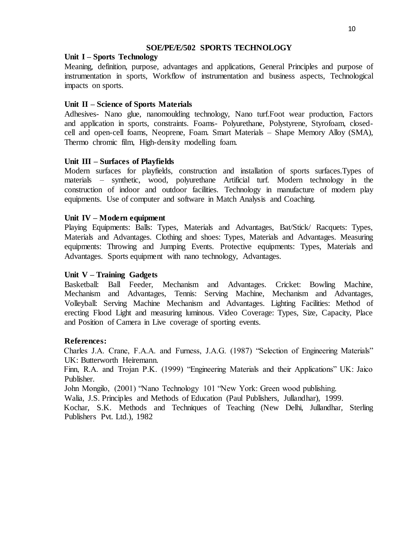## **SOE/PE/E/502 SPORTS TECHNOLOGY**

# **Unit I – Sports Technology**

Meaning, definition, purpose, advantages and applications, General Principles and purpose of instrumentation in sports, Workflow of instrumentation and business aspects, Technological impacts on sports.

# **Unit II – Science of Sports Materials**

Adhesives- Nano glue, nanomoulding technology, Nano turf.Foot wear production, Factors and application in sports, constraints. Foams- Polyurethane, Polystyrene, Styrofoam, closedcell and open-cell foams, Neoprene, Foam. Smart Materials – Shape Memory Alloy (SMA), Thermo chromic film, High-density modelling foam.

# **Unit III – Surfaces of Playfields**

Modern surfaces for playfields, construction and installation of sports surfaces.Types of materials – synthetic, wood, polyurethane Artificial turf. Modern technology in the construction of indoor and outdoor facilities. Technology in manufacture of modern play equipments. Use of computer and software in Match Analysis and Coaching.

# **Unit IV – Modern equipment**

Playing Equipments: Balls: Types, Materials and Advantages, Bat/Stick/ Racquets: Types, Materials and Advantages. Clothing and shoes: Types, Materials and Advantages. Measuring equipments: Throwing and Jumping Events. Protective equipments: Types, Materials and Advantages. Sports equipment with nano technology, Advantages.

# **Unit V – Training Gadgets**

Basketball: Ball Feeder, Mechanism and Advantages. Cricket: Bowling Machine, Mechanism and Advantages, Tennis: Serving Machine, Mechanism and Advantages, Volleyball: Serving Machine Mechanism and Advantages. Lighting Facilities: Method of erecting Flood Light and measuring luminous. Video Coverage: Types, Size, Capacity, Place and Position of Camera in Live coverage of sporting events.

# **References:**

Charles J.A. Crane, F.A.A. and Furness, J.A.G. (1987) "Selection of Engineering Materials" UK: Butterworth Heiremann.

Finn, R.A. and Trojan P.K. (1999) "Engineering Materials and their Applications" UK: Jaico Publisher.

John Mongilo, (2001) "Nano Technology 101 "New York: Green wood publishing.

Walia, J.S. Principles and Methods of Education (Paul Publishers, Jullandhar), 1999.

Kochar, S.K. Methods and Techniques of Teaching (New Delhi, Jullandhar, Sterling Publishers Pvt. Ltd.), 1982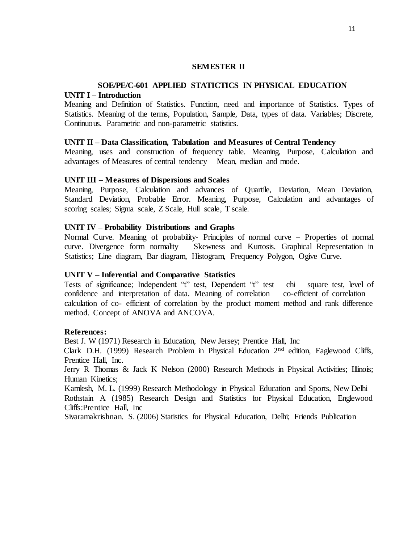#### **SEMESTER II**

## **SOE/PE/C-601 APPLIED STATICTICS IN PHYSICAL EDUCATION UNIT I – Introduction**

Meaning and Definition of Statistics. Function, need and importance of Statistics. Types of Statistics. Meaning of the terms, Population, Sample, Data, types of data. Variables; Discrete, Continuous. Parametric and non-parametric statistics.

#### **UNIT II – Data Classification, Tabulation and Measures of Central Tendency**

Meaning, uses and construction of frequency table. Meaning, Purpose, Calculation and advantages of Measures of central tendency – Mean, median and mode.

#### **UNIT III – Measures of Dispersions and Scales**

Meaning, Purpose, Calculation and advances of Quartile, Deviation, Mean Deviation, Standard Deviation, Probable Error. Meaning, Purpose, Calculation and advantages of scoring scales; Sigma scale, Z Scale, Hull scale, T scale.

#### **UNIT IV – Probability Distributions and Graphs**

Normal Curve. Meaning of probability- Principles of normal curve – Properties of normal curve. Divergence form normality – Skewness and Kurtosis. Graphical Representation in Statistics; Line diagram, Bar diagram, Histogram, Frequency Polygon, Ogive Curve.

#### **UNIT V – Inferential and Comparative Statistics**

Tests of significance; Independent "t" test, Dependent "t" test – chi – square test, level of confidence and interpretation of data. Meaning of correlation – co-efficient of correlation – calculation of co- efficient of correlation by the product moment method and rank difference method. Concept of ANOVA and ANCOVA.

#### **References:**

Best J. W (1971) Research in Education, New Jersey; Prentice Hall, Inc

Clark D.H. (1999) Research Problem in Physical Education  $2<sup>nd</sup>$  edition, Eaglewood Cliffs, Prentice Hall, Inc.

Jerry R Thomas & Jack K Nelson (2000) Research Methods in Physical Activities; Illinois; Human Kinetics;

Kamlesh, M. L. (1999) Research Methodology in Physical Education and Sports, New Delhi Rothstain A (1985) Research Design and Statistics for Physical Education, Englewood Cliffs:Prentice Hall, Inc

Sivaramakrishnan. S. (2006) Statistics for Physical Education, Delhi; Friends Publication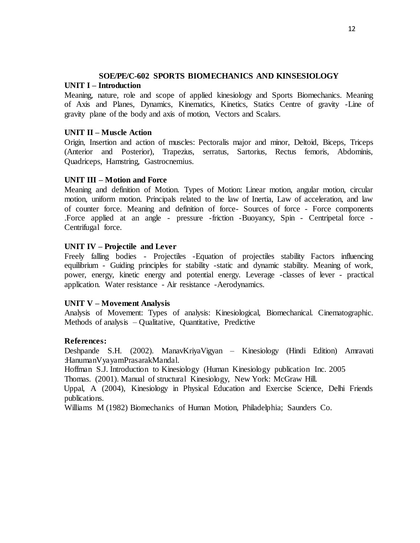# **SOE/PE/C-602 SPORTS BIOMECHANICS AND KINSESIOLOGY**

# **UNIT I – Introduction**

Meaning, nature, role and scope of applied kinesiology and Sports Biomechanics. Meaning of Axis and Planes, Dynamics, Kinematics, Kinetics, Statics Centre of gravity -Line of gravity plane of the body and axis of motion, Vectors and Scalars.

# **UNIT II – Muscle Action**

Origin, Insertion and action of muscles: Pectoralis major and minor, Deltoid, Biceps, Triceps (Anterior and Posterior), Trapezius, serratus, Sartorius, Rectus femoris, Abdominis, Quadriceps, Hamstring, Gastrocnemius.

# **UNIT III – Motion and Force**

Meaning and definition of Motion. Types of Motion: Linear motion, angular motion, circular motion, uniform motion. Principals related to the law of Inertia, Law of acceleration, and law of counter force. Meaning and definition of force- Sources of force - Force components .Force applied at an angle - pressure -friction -Buoyancy, Spin - Centripetal force - Centrifugal force.

# **UNIT IV – Projectile and Lever**

Freely falling bodies - Projectiles -Equation of projectiles stability Factors influencing equilibrium - Guiding principles for stability -static and dynamic stability. Meaning of work, power, energy, kinetic energy and potential energy. Leverage -classes of lever - practical application. Water resistance - Air resistance -Aerodynamics.

# **UNIT V – Movement Analysis**

Analysis of Movement: Types of analysis: Kinesiological, Biomechanical. Cinematographic. Methods of analysis – Qualitative, Quantitative, Predictive

# **References:**

Deshpande S.H. (2002). ManavKriyaVigyan – Kinesiology (Hindi Edition) Amravati :HanumanVyayamPrasarakMandal.

Hoffman S.J. Introduction to Kinesiology (Human Kinesiology publication Inc. 2005

Thomas. (2001). Manual of structural Kinesiology, New York: McGraw Hill.

Uppal, A (2004), Kinesiology in Physical Education and Exercise Science, Delhi Friends publications.

Williams M (1982) Biomechanics of Human Motion, Philadelphia; Saunders Co.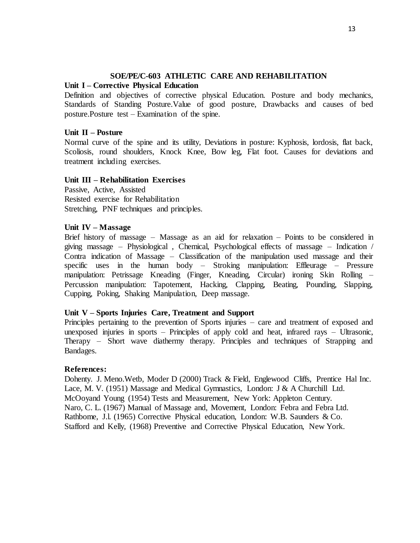# **SOE/PE/C-603 ATHLETIC CARE AND REHABILITATION**

# **Unit I – Corrective Physical Education**

Definition and objectives of corrective physical Education. Posture and body mechanics, Standards of Standing Posture.Value of good posture, Drawbacks and causes of bed posture.Posture test – Examination of the spine.

# **Unit II – Posture**

Normal curve of the spine and its utility, Deviations in posture: Kyphosis, lordosis, flat back, Scoliosis, round shoulders, Knock Knee, Bow leg, Flat foot. Causes for deviations and treatment including exercises.

## **Unit III – Rehabilitation Exercises**

Passive, Active, Assisted Resisted exercise for Rehabilitation Stretching, PNF techniques and principles.

## **Unit IV – Massage**

Brief history of massage – Massage as an aid for relaxation – Points to be considered in giving massage – Physiological , Chemical, Psychological effects of massage – Indication / Contra indication of Massage – Classification of the manipulation used massage and their specific uses in the human body – Stroking manipulation: Effleurage – Pressure manipulation: Petrissage Kneading (Finger, Kneading, Circular) ironing Skin Rolling – Percussion manipulation: Tapotement, Hacking, Clapping, Beating, Pounding, Slapping, Cupping, Poking, Shaking Manipulation, Deep massage.

## **Unit V – Sports Injuries Care, Treatment and Support**

Principles pertaining to the prevention of Sports injuries – care and treatment of exposed and unexposed injuries in sports – Principles of apply cold and heat, infrared rays – Ultrasonic, Therapy – Short wave diathermy therapy. Principles and techniques of Strapping and Bandages.

## **References:**

Dohenty. J. Meno.Wetb, Moder D (2000) Track & Field, Englewood Cliffs, Prentice Hal Inc. Lace, M. V. (1951) Massage and Medical Gymnastics, London: J & A Churchill Ltd. McOoyand Young (1954) Tests and Measurement, New York: Appleton Century. Naro, C. L. (1967) Manual of Massage and, Movement, London: Febra and Febra Ltd. Rathbome, J.l. (1965) Corrective Physical education, London: W.B. Saunders & Co. Stafford and Kelly, (1968) Preventive and Corrective Physical Education, New York.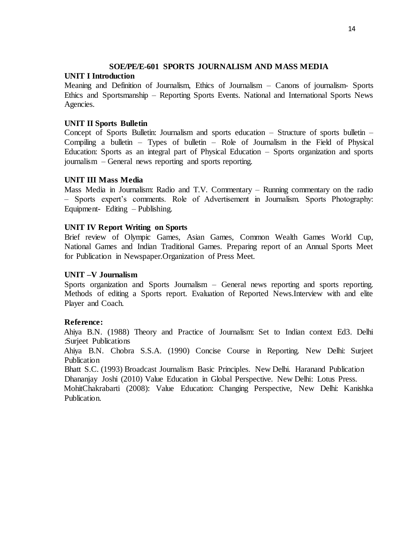# **SOE/PE/E-601 SPORTS JOURNALISM AND MASS MEDIA**

# **UNIT I Introduction**

Meaning and Definition of Journalism, Ethics of Journalism – Canons of journalism- Sports Ethics and Sportsmanship – Reporting Sports Events. National and International Sports News Agencies.

# **UNIT II Sports Bulletin**

Concept of Sports Bulletin: Journalism and sports education – Structure of sports bulletin – Compiling a bulletin – Types of bulletin – Role of Journalism in the Field of Physical Education: Sports as an integral part of Physical Education – Sports organization and sports journalism – General news reporting and sports reporting.

# **UNIT III Mass Media**

Mass Media in Journalism: Radio and T.V. Commentary – Running commentary on the radio – Sports expert's comments. Role of Advertisement in Journalism. Sports Photography: Equipment- Editing – Publishing.

# **UNIT IV Report Writing on Sports**

Brief review of Olympic Games, Asian Games, Common Wealth Games World Cup, National Games and Indian Traditional Games. Preparing report of an Annual Sports Meet for Publication in Newspaper.Organization of Press Meet.

# **UNIT –V Journalism**

Sports organization and Sports Journalism – General news reporting and sports reporting. Methods of editing a Sports report. Evaluation of Reported News.Interview with and elite Player and Coach.

# **Reference:**

Ahiya B.N. (1988) Theory and Practice of Journalism: Set to Indian context Ed3. Delhi :Surjeet Publications

Ahiya B.N. Chobra S.S.A. (1990) Concise Course in Reporting. New Delhi: Surjeet Publication

Bhatt S.C. (1993) Broadcast Journalism Basic Principles. New Delhi. Haranand Publication Dhananjay Joshi (2010) Value Education in Global Perspective. New Delhi: Lotus Press.

MohitChakrabarti (2008): Value Education: Changing Perspective, New Delhi: Kanishka Publication.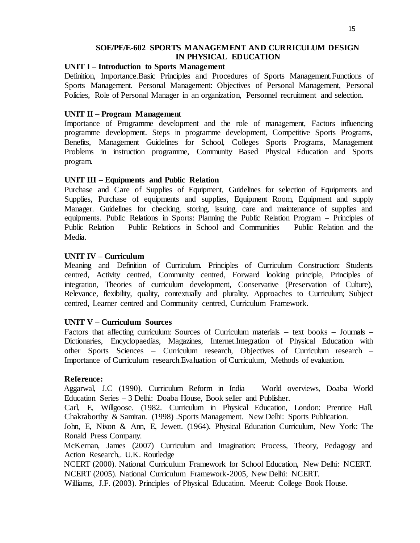# **SOE/PE/E-602 SPORTS MANAGEMENT AND CURRICULUM DESIGN IN PHYSICAL EDUCATION**

## **UNIT I – Introduction to Sports Management**

Definition, Importance.Basic Principles and Procedures of Sports Management.Functions of Sports Management. Personal Management: Objectives of Personal Management, Personal Policies, Role of Personal Manager in an organization, Personnel recruitment and selection.

## **UNIT II – Program Management**

Importance of Programme development and the role of management, Factors influencing programme development. Steps in programme development, Competitive Sports Programs, Benefits, Management Guidelines for School, Colleges Sports Programs, Management Problems in instruction programme, Community Based Physical Education and Sports program.

## **UNIT III – Equipments and Public Relation**

Purchase and Care of Supplies of Equipment, Guidelines for selection of Equipments and Supplies, Purchase of equipments and supplies, Equipment Room, Equipment and supply Manager. Guidelines for checking, storing, issuing, care and maintenance of supplies and equipments. Public Relations in Sports: Planning the Public Relation Program – Principles of Public Relation – Public Relations in School and Communities – Public Relation and the Media.

## **UNIT IV – Curriculum**

Meaning and Definition of Curriculum. Principles of Curriculum Construction: Students centred, Activity centred, Community centred, Forward looking principle, Principles of integration, Theories of curriculum development, Conservative (Preservation of Culture), Relevance, flexibility, quality, contextually and plurality. Approaches to Curriculum; Subject centred, Learner centred and Community centred, Curriculum Framework.

# **UNIT V – Curriculum Sources**

Factors that affecting curriculum: Sources of Curriculum materials – text books – Journals – Dictionaries, Encyclopaedias, Magazines, Internet.Integration of Physical Education with other Sports Sciences – Curriculum research, Objectives of Curriculum research – Importance of Curriculum research.Evaluation of Curriculum, Methods of evaluation.

## **Reference:**

Aggarwal, J.C (1990). Curriculum Reform in India – World overviews, Doaba World Education Series – 3 Delhi: Doaba House, Book seller and Publisher.

Carl, E, Willgoose. (1982. Curriculum in Physical Education, London: Prentice Hall. Chakraborthy & Samiran. (1998) .Sports Management. New Delhi: Sports Publication.

John, E, Nixon & Ann, E, Jewett. (1964). Physical Education Curriculum, New York: The Ronald Press Company.

McKernan, James (2007) Curriculum and Imagination: Process, Theory, Pedagogy and Action Research,. U.K. Routledge

NCERT (2000). National Curriculum Framework for School Education, New Delhi: NCERT. NCERT (2005). National Curriculum Framework-2005, New Delhi: NCERT.

Williams, J.F. (2003). Principles of Physical Education. Meerut: College Book House.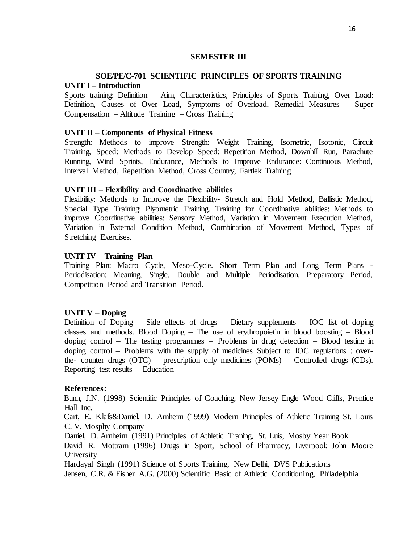### **SEMESTER III**

# **SOE/PE/C-701 SCIENTIFIC PRINCIPLES OF SPORTS TRAINING UNIT I – Introduction**

Sports training: Definition – Aim, Characteristics, Principles of Sports Training, Over Load: Definition, Causes of Over Load, Symptoms of Overload, Remedial Measures – Super Compensation – Altitude Training – Cross Training

#### **UNIT II – Components of Physical Fitness**

Strength: Methods to improve Strength: Weight Training, Isometric, Isotonic, Circuit Training, Speed: Methods to Develop Speed: Repetition Method, Downhill Run, Parachute Running, Wind Sprints, Endurance, Methods to Improve Endurance: Continuous Method, Interval Method, Repetition Method, Cross Country, Fartlek Training

#### **UNIT III – Flexibility and Coordinative abilities**

Flexibility: Methods to Improve the Flexibility- Stretch and Hold Method, Ballistic Method, Special Type Training: Plyometric Training. Training for Coordinative abilities: Methods to improve Coordinative abilities: Sensory Method, Variation in Movement Execution Method, Variation in External Condition Method, Combination of Movement Method, Types of Stretching Exercises.

### **UNIT IV – Training Plan**

Training Plan: Macro Cycle, Meso-Cycle. Short Term Plan and Long Term Plans - Periodisation: Meaning, Single, Double and Multiple Periodisation, Preparatory Period, Competition Period and Transition Period.

## **UNIT V – Doping**

Definition of Doping – Side effects of drugs – Dietary supplements – IOC list of doping classes and methods. Blood Doping – The use of erythropoietin in blood boosting – Blood doping control – The testing programmes – Problems in drug detection – Blood testing in doping control – Problems with the supply of medicines Subject to IOC regulations : overthe- counter drugs (OTC) – prescription only medicines (POMs) – Controlled drugs (CDs). Reporting test results – Education

#### **References:**

Bunn, J.N. (1998) Scientific Principles of Coaching, New Jersey Engle Wood Cliffs, Prentice Hall Inc.

Cart, E. Klafs&Daniel, D. Arnheim (1999) Modern Principles of Athletic Training St. Louis C. V. Mosphy Company

Daniel, D. Arnheim (1991) Principles of Athletic Traning, St. Luis, Mosby Year Book

David R. Mottram (1996) Drugs in Sport, School of Pharmacy, Liverpool: John Moore University

Hardayal Singh (1991) Science of Sports Training, New Delhi, DVS Publications

Jensen, C.R. & Fisher A.G. (2000) Scientific Basic of Athletic Conditioning, Philadelphia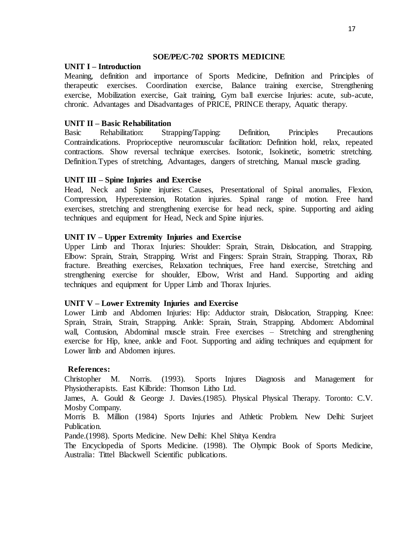## **SOE/PE/C-702 SPORTS MEDICINE**

## **UNIT I – Introduction**

Meaning, definition and importance of Sports Medicine, Definition and Principles of therapeutic exercises. Coordination exercise, Balance training exercise, Strengthening exercise, Mobilization exercise, Gait training, Gym ball exercise Injuries: acute, sub-acute, chronic. Advantages and Disadvantages of PRICE, PRINCE therapy, Aquatic therapy.

# **UNIT II – Basic Rehabilitation**

Basic Rehabilitation: Strapping/Tapping: Definition, Principles Precautions Contraindications. Proprioceptive neuromuscular facilitation: Definition hold, relax, repeated contractions. Show reversal technique exercises. Isotonic, Isokinetic, isometric stretching. Definition.Types of stretching, Advantages, dangers of stretching, Manual muscle grading.

# **UNIT III – Spine Injuries and Exercise**

Head, Neck and Spine injuries: Causes, Presentational of Spinal anomalies, Flexion, Compression, Hyperextension, Rotation injuries. Spinal range of motion. Free hand exercises, stretching and strengthening exercise for head neck, spine. Supporting and aiding techniques and equipment for Head, Neck and Spine injuries.

# **UNIT IV – Upper Extremity Injuries and Exercise**

Upper Limb and Thorax Injuries: Shoulder: Sprain, Strain, Dislocation, and Strapping. Elbow: Sprain, Strain, Strapping. Wrist and Fingers: Sprain Strain, Strapping. Thorax, Rib fracture. Breathing exercises, Relaxation techniques, Free hand exercise, Stretching and strengthening exercise for shoulder, Elbow, Wrist and Hand. Supporting and aiding techniques and equipment for Upper Limb and Thorax Injuries.

# **UNIT V – Lower Extremity Injuries and Exercise**

Lower Limb and Abdomen Injuries: Hip: Adductor strain, Dislocation, Strapping. Knee: Sprain, Strain, Strain, Strapping. Ankle: Sprain, Strain, Strapping. Abdomen: Abdominal wall, Contusion, Abdominal muscle strain. Free exercises – Stretching and strengthening exercise for Hip, knee, ankle and Foot. Supporting and aiding techniques and equipment for Lower limb and Abdomen injures.

# **References:**

Christopher M. Norris. (1993). Sports Injures Diagnosis and Management for Physiotherapists. East Kilbride: Thomson Litho Ltd.

James, A. Gould & George J. Davies.(1985). Physical Physical Therapy. Toronto: C.V. Mosby Company.

Morris B. Million (1984) Sports Injuries and Athletic Problem. New Delhi: Surjeet Publication.

Pande.(1998). Sports Medicine. New Delhi: Khel Shitya Kendra

The Encyclopedia of Sports Medicine. (1998). The Olympic Book of Sports Medicine, Australia: Tittel Blackwell Scientific publications.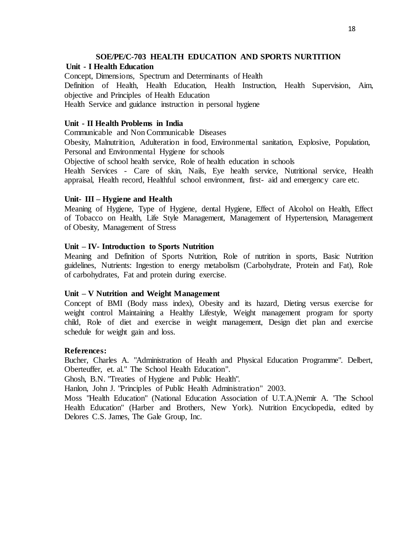## **SOE/PE/C-703 HEALTH EDUCATION AND SPORTS NURTITION**

## **Unit - I Health Education**

Concept, Dimensions, Spectrum and Determinants of Health

Definition of Health, Health Education, Health Instruction, Health Supervision, Aim, objective and Principles of Health Education

Health Service and guidance instruction in personal hygiene

# **Unit - II Health Problems in India**

Communicable and Non Communicable Diseases

Obesity, Malnutrition, Adulteration in food, Environmental sanitation, Explosive, Population, Personal and Environmental Hygiene for schools

Objective of school health service, Role of health education in schools

Health Services - Care of skin, Nails, Eye health service, Nutritional service, Health appraisal, Health record, Healthful school environment, first- aid and emergency care etc.

## **Unit- III – Hygiene and Health**

Meaning of Hygiene, Type of Hygiene, dental Hygiene, Effect of Alcohol on Health, Effect of Tobacco on Health, Life Style Management, Management of Hypertension, Management of Obesity, Management of Stress

## **Unit – IV- Introduction to Sports Nutrition**

Meaning and Definition of Sports Nutrition, Role of nutrition in sports, Basic Nutrition guidelines, Nutrients: Ingestion to energy metabolism (Carbohydrate, Protein and Fat), Role of carbohydrates, Fat and protein during exercise.

## **Unit – V Nutrition and Weight Management**

Concept of BMI (Body mass index), Obesity and its hazard, Dieting versus exercise for weight control Maintaining a Healthy Lifestyle, Weight management program for sporty child, Role of diet and exercise in weight management, Design diet plan and exercise schedule for weight gain and loss.

## **References:**

Bucher, Charles A. "Administration of Health and Physical Education Programme". Delbert, Oberteuffer, et. al." The School Health Education".

Ghosh, B.N. "Treaties of Hygiene and Public Health".

Hanlon, John J. "Principles of Public Health Administration" 2003.

Moss "Health Education" (National Education Association of U.T.A.)Nemir A. 'The School Health Education" (Harber and Brothers, New York). Nutrition Encyclopedia, edited by Delores C.S. James, The Gale Group, Inc.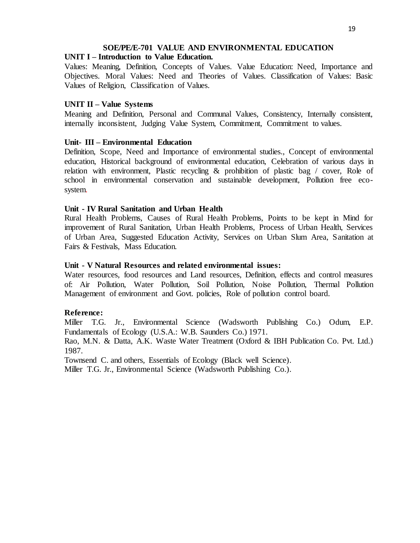# **SOE/PE/E-701 VALUE AND ENVIRONMENTAL EDUCATION**

# **UNIT I – Introduction to Value Education.**

Values: Meaning, Definition, Concepts of Values. Value Education: Need, Importance and Objectives. Moral Values: Need and Theories of Values. Classification of Values: Basic Values of Religion, Classification of Values.

# **UNIT II – Value Systems**

Meaning and Definition, Personal and Communal Values, Consistency, Internally consistent, internally inconsistent, Judging Value System, Commitment, Commitment to values.

# **Unit- III – Environmental Education**

Definition, Scope, Need and Importance of environmental studies., Concept of environmental education, Historical background of environmental education, Celebration of various days in relation with environment, Plastic recycling & prohibition of plastic bag / cover, Role of school in environmental conservation and sustainable development, Pollution free ecosystem.

## **Unit - IV Rural Sanitation and Urban Health**

Rural Health Problems, Causes of Rural Health Problems, Points to be kept in Mind for improvement of Rural Sanitation, Urban Health Problems, Process of Urban Health, Services of Urban Area, Suggested Education Activity, Services on Urban Slum Area, Sanitation at Fairs & Festivals, Mass Education.

# **Unit - V Natural Resources and related environmental issues:**

Water resources, food resources and Land resources, Definition, effects and control measures of: Air Pollution, Water Pollution, Soil Pollution, Noise Pollution, Thermal Pollution Management of environment and Govt. policies, Role of pollution control board.

# **Reference:**

Miller T.G. Jr., Environmental Science (Wadsworth Publishing Co.) Odum, E.P. Fundamentals of Ecology (U.S.A.: W.B. Saunders Co.) 1971.

Rao, M.N. & Datta, A.K. Waste Water Treatment (Oxford & IBH Publication Co. Pvt. Ltd.) 1987.

Townsend C. and others, Essentials of Ecology (Black well Science).

Miller T.G. Jr., Environmental Science (Wadsworth Publishing Co.).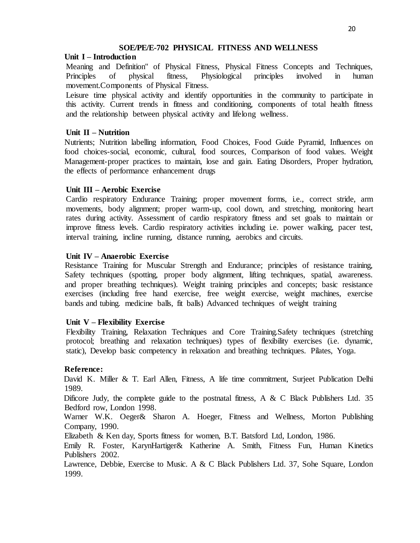## **SOE/PE/E-702 PHYSICAL FITNESS AND WELLNESS**

## **Unit I – Introduction**

Meaning and Definition" of Physical Fitness, Physical Fitness Concepts and Techniques, Principles of physical fitness, Physiological principles involved in human movement.Components of Physical Fitness.

Leisure time physical activity and identify opportunities in the community to participate in this activity. Current trends in fitness and conditioning, components of total health fitness and the relationship between physical activity and lifelong wellness.

## **Unit II – Nutrition**

Nutrients; Nutrition labelling information, Food Choices, Food Guide Pyramid, Influences on food choices-social, economic, cultural, food sources, Comparison of food values. Weight Management-proper practices to maintain, lose and gain. Eating Disorders, Proper hydration, the effects of performance enhancement drugs

## **Unit III – Aerobic Exercise**

Cardio respiratory Endurance Training; proper movement forms, i.e., correct stride, arm movements, body alignment; proper warm-up, cool down, and stretching, monitoring heart rates during activity. Assessment of cardio respiratory fitness and set goals to maintain or improve fitness levels. Cardio respiratory activities including i.e. power walking, pacer test, interval training, incline running, distance running, aerobics and circuits.

## **Unit IV – Anaerobic Exercise**

Resistance Training for Muscular Strength and Endurance; principles of resistance training, Safety techniques (spotting, proper body alignment, lifting techniques, spatial, awareness. and proper breathing techniques). Weight training principles and concepts; basic resistance exercises (including free hand exercise, free weight exercise, weight machines, exercise bands and tubing. medicine balls, fit balls) Advanced techniques of weight training

## **Unit V – Flexibility Exercise**

Flexibility Training, Relaxation Techniques and Core Training.Safety techniques (stretching protocol; breathing and relaxation techniques) types of flexibility exercises (i.e. dynamic, static), Develop basic competency in relaxation and breathing techniques. Pilates, Yoga.

## **Reference:**

David K. Miller & T. Earl Allen, Fitness, A life time commitment, Surjeet Publication Delhi 1989.

Dificore Judy, the complete guide to the postnatal fitness, A & C Black Publishers Ltd. 35 Bedford row, London 1998.

Warner W.K. Oeger& Sharon A. Hoeger, Fitness and Wellness, Morton Publishing Company, 1990.

Elizabeth & Ken day, Sports fitness for women, B.T. Batsford Ltd, London, 1986.

Emily R. Foster, KarynHartiger& Katherine A. Smith, Fitness Fun, Human Kinetics Publishers 2002.

Lawrence, Debbie, Exercise to Music. A & C Black Publishers Ltd. 37, Sohe Square, London 1999.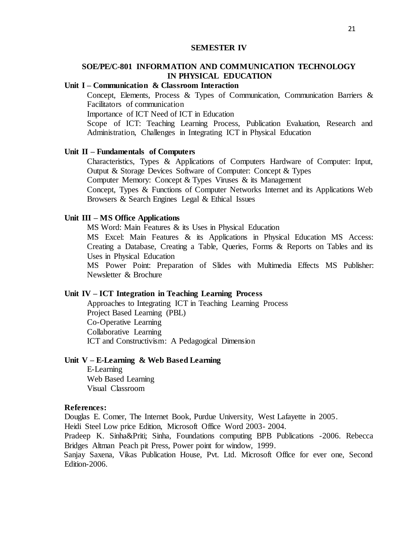#### **SEMESTER IV**

# **SOE/PE/C-801 INFORMATION AND COMMUNICATION TECHNOLOGY IN PHYSICAL EDUCATION**

## **Unit I – Communication & Classroom Interaction**

Concept, Elements, Process & Types of Communication, Communication Barriers & Facilitators of communication

Importance of ICT Need of ICT in Education

Scope of ICT: Teaching Learning Process, Publication Evaluation, Research and Administration, Challenges in Integrating ICT in Physical Education

### **Unit II – Fundamentals of Computers**

Characteristics, Types & Applications of Computers Hardware of Computer: Input, Output & Storage Devices Software of Computer: Concept & Types Computer Memory: Concept & Types Viruses & its Management Concept, Types & Functions of Computer Networks Internet and its Applications Web Browsers & Search Engines Legal & Ethical Issues

#### **Unit III – MS Office Applications**

MS Word: Main Features & its Uses in Physical Education

MS Excel: Main Features & its Applications in Physical Education MS Access: Creating a Database, Creating a Table, Queries, Forms & Reports on Tables and its Uses in Physical Education

MS Power Point: Preparation of Slides with Multimedia Effects MS Publisher: Newsletter & Brochure

## **Unit IV – ICT Integration in Teaching Learning Process**

Approaches to Integrating ICT in Teaching Learning Process Project Based Learning (PBL) Co-Operative Learning Collaborative Learning ICT and Constructivism: A Pedagogical Dimension

## **Unit V – E-Learning & Web Based Learning**

E-Learning Web Based Learning Visual Classroom

#### **References:**

Douglas E. Comer, The Internet Book, Purdue University, West Lafayette in 2005.

Heidi Steel Low price Edition, Microsoft Office Word 2003- 2004.

Pradeep K. Sinha&Priti; Sinha, Foundations computing BPB Publications -2006. Rebecca Bridges Altman Peach pit Press, Power point for window, 1999.

Sanjay Saxena, Vikas Publication House, Pvt. Ltd. Microsoft Office for ever one, Second Edition-2006.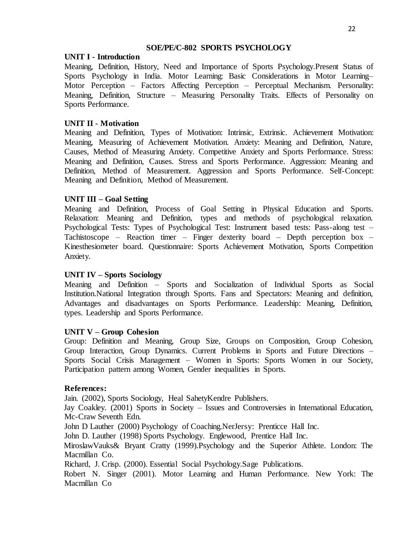## **SOE/PE/C-802 SPORTS PSYCHOLOGY**

# **UNIT I - Introduction**

Meaning, Definition, History, Need and Importance of Sports Psychology.Present Status of Sports Psychology in India. Motor Learning: Basic Considerations in Motor Learning– Motor Perception – Factors Affecting Perception – Perceptual Mechanism. Personality: Meaning, Definition, Structure – Measuring Personality Traits. Effects of Personality on Sports Performance.

# **UNIT II - Motivation**

Meaning and Definition, Types of Motivation: Intrinsic, Extrinsic. Achievement Motivation: Meaning, Measuring of Achievement Motivation. Anxiety: Meaning and Definition, Nature, Causes, Method of Measuring Anxiety. Competitive Anxiety and Sports Performance. Stress: Meaning and Definition, Causes. Stress and Sports Performance. Aggression: Meaning and Definition, Method of Measurement. Aggression and Sports Performance. Self-Concept: Meaning and Definition, Method of Measurement.

# **UNIT III – Goal Setting**

Meaning and Definition, Process of Goal Setting in Physical Education and Sports. Relaxation: Meaning and Definition, types and methods of psychological relaxation. Psychological Tests: Types of Psychological Test: Instrument based tests: Pass-along test – Tachistoscope – Reaction timer – Finger dexterity board – Depth perception box – Kinesthesiometer board. Questionnaire: Sports Achievement Motivation, Sports Competition Anxiety.

# **UNIT IV – Sports Sociology**

Meaning and Definition – Sports and Socialization of Individual Sports as Social Institution.National Integration through Sports. Fans and Spectators: Meaning and definition, Advantages and disadvantages on Sports Performance. Leadership: Meaning, Definition, types. Leadership and Sports Performance.

# **UNIT V – Group Cohesion**

Group: Definition and Meaning, Group Size, Groups on Composition, Group Cohesion, Group Interaction, Group Dynamics. Current Problems in Sports and Future Directions – Sports Social Crisis Management – Women in Sports: Sports Women in our Society, Participation pattern among Women, Gender inequalities in Sports.

# **References:**

Jain. (2002), Sports Sociology, Heal SahetyKendre Publishers.

Jay Coakley. (2001) Sports in Society – Issues and Controversies in International Education, Mc-Craw Seventh Edn.

John D Lauther (2000) Psychology of Coaching.NerJersy: Prenticce Hall Inc.

John D. Lauther (1998) Sports Psychology. Englewood, Prentice Hall Inc.

MiroslawVauks& Bryant Cratty (1999).Psychology and the Superior Athlete. London: The Macmillan Co.

Richard, J. Crisp. (2000). Essential Social Psychology.Sage Publications.

Robert N. Singer (2001). Motor Learning and Human Performance. New York: The Macmillan Co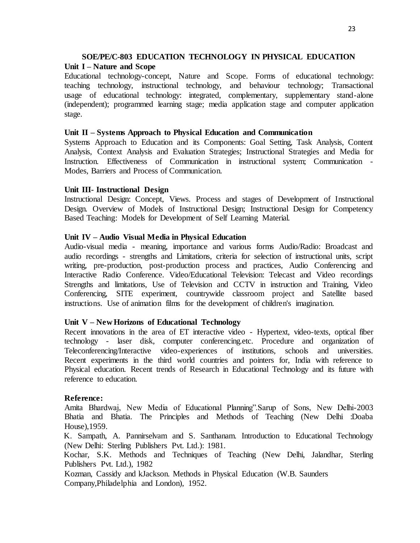### **SOE/PE/C-803 EDUCATION TECHNOLOGY IN PHYSICAL EDUCATION Unit I – Nature and Scope**

Educational technology-concept, Nature and Scope. Forms of educational technology: teaching technology, instructional technology, and behaviour technology; Transactional usage of educational technology: integrated, complementary, supplementary stand-alone (independent); programmed learning stage; media application stage and computer application stage.

### **Unit II – Systems Approach to Physical Education and Communication**

Systems Approach to Education and its Components: Goal Setting, Task Analysis, Content Analysis, Context Analysis and Evaluation Strategies; Instructional Strategies and Media for Instruction. Effectiveness of Communication in instructional system; Communication - Modes, Barriers and Process of Communication.

#### **Unit III- Instructional Design**

Instructional Design: Concept, Views. Process and stages of Development of Instructional Design. Overview of Models of Instructional Design; Instructional Design for Competency Based Teaching: Models for Development of Self Learning Material.

#### **Unit IV – Audio Visual Media in Physical Education**

Audio-visual media - meaning, importance and various forms Audio/Radio: Broadcast and audio recordings - strengths and Limitations, criteria for selection of instructional units, script writing, pre-production, post-production process and practices, Audio Conferencing and Interactive Radio Conference. Video/Educational Television: Telecast and Video recordings Strengths and limitations, Use of Television and CCTV in instruction and Training, Video Conferencing, SITE experiment, countrywide classroom project and Satellite based instructions. Use of animation films for the development of children's imagination.

## **Unit V – New Horizons of Educational Technology**

Recent innovations in the area of ET interactive video - Hypertext, video-texts, optical fiber technology - laser disk, computer conferencing.etc. Procedure and organization of Teleconferencing/Interactive video-experiences of institutions, schools and universities. Recent experiments in the third world countries and pointers for, India with reference to Physical education. Recent trends of Research in Educational Technology and its future with reference to education.

#### **Reference:**

Amita Bhardwaj, New Media of Educational Planning".Sarup of Sons, New Delhi-2003 Bhatia and Bhatia. The Principles and Methods of Teaching (New Delhi :Doaba House),1959.

K. Sampath, A. Pannirselvam and S. Santhanam. Introduction to Educational Technology (New Delhi: Sterling Publishers Pvt. Ltd.): 1981.

Kochar, S.K. Methods and Techniques of Teaching (New Delhi, Jalandhar, Sterling Publishers Pvt. Ltd.), 1982

Kozman, Cassidy and kJackson. Methods in Physical Education (W.B. Saunders Company,Philadelphia and London), 1952.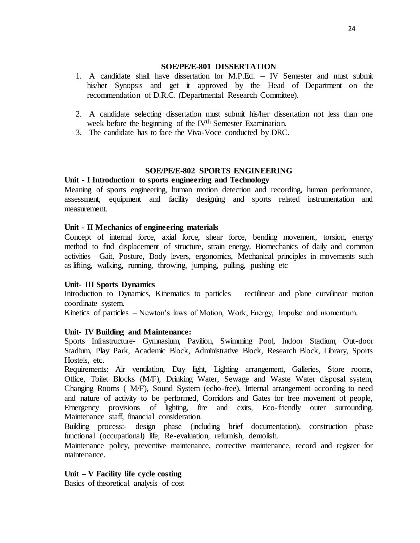## **SOE/PE/E-801 DISSERTATION**

- 1. A candidate shall have dissertation for M.P.Ed. IV Semester and must submit his/her Synopsis and get it approved by the Head of Department on the recommendation of D.R.C. (Departmental Research Committee).
- 2. A candidate selecting dissertation must submit his/her dissertation not less than one week before the beginning of the IV<sup>th</sup> Semester Examination.
- 3. The candidate has to face the Viva-Voce conducted by DRC.

# **SOE/PE/E-802 SPORTS ENGINEERING**

## **Unit - I Introduction to sports engineering and Technology**

Meaning of sports engineering, human motion detection and recording, human performance, assessment, equipment and facility designing and sports related instrumentation and measurement.

## **Unit - II Mechanics of engineering materials**

Concept of internal force, axial force, shear force, bending movement, torsion, energy method to find displacement of structure, strain energy. Biomechanics of daily and common activities –Gait, Posture, Body levers, ergonomics, Mechanical principles in movements such as lifting, walking, running, throwing, jumping, pulling, pushing etc

# **Unit- III Sports Dynamics**

Introduction to Dynamics, Kinematics to particles – rectilinear and plane curvilinear motion coordinate system.

Kinetics of particles – Newton's laws of Motion, Work, Energy, Impulse and momentum.

## **Unit- IV Building and Maintenance:**

Sports Infrastructure- Gymnasium, Pavilion, Swimming Pool, Indoor Stadium, Out-door Stadium, Play Park, Academic Block, Administrative Block, Research Block, Library, Sports Hostels, etc.

Requirements: Air ventilation, Day light, Lighting arrangement, Galleries, Store rooms, Office, Toilet Blocks (M/F), Drinking Water, Sewage and Waste Water disposal system, Changing Rooms ( M/F), Sound System (echo-free), Internal arrangement according to need and nature of activity to be performed, Corridors and Gates for free movement of people, Emergency provisions of lighting, fire and exits, Eco-friendly outer surrounding. Maintenance staff, financial consideration.

Building process:- design phase (including brief documentation), construction phase functional (occupational) life, Re-evaluation, refurnish, demolish.

Maintenance policy, preventive maintenance, corrective maintenance, record and register for maintenance.

# **Unit – V Facility life cycle costing**

Basics of theoretical analysis of cost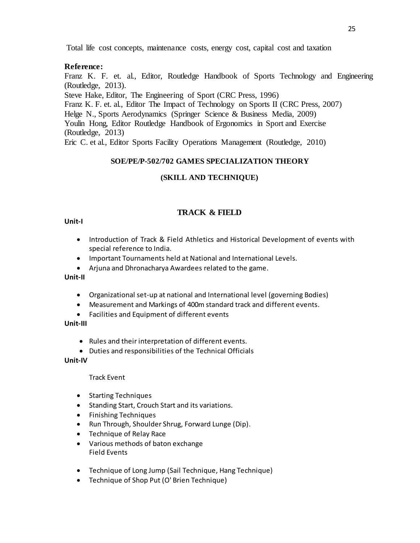Total life cost concepts, maintenance costs, energy cost, capital cost and taxation

# **Reference:**

Franz K. F. et. al., Editor, Routledge Handbook of Sports Technology and Engineering (Routledge, 2013).

Steve Hake, Editor, The Engineering of Sport (CRC Press, 1996)

Franz K. F. et. al., Editor The Impact of Technology on Sports II (CRC Press, 2007)

Helge N., Sports Aerodynamics (Springer Science & Business Media, 2009)

Youlin Hong, Editor Routledge Handbook of Ergonomics in Sport and Exercise (Routledge, 2013)

Eric C. et al., Editor Sports Facility Operations Management (Routledge, 2010)

# **SOE/PE/P-502/702 GAMES SPECIALIZATION THEORY**

# **(SKILL AND TECHNIQUE)**

# **TRACK & FIELD**

## **Unit-I**

- Introduction of Track & Field Athletics and Historical Development of events with special reference to India.
- Important Tournaments held at National and International Levels.
- Arjuna and Dhronacharya Awardees related to the game.

## **Unit-II**

- Organizational set-up at national and International level (governing Bodies)
- Measurement and Markings of 400m standard track and different events.
- Facilities and Equipment of different events

## **Unit-III**

- Rules and their interpretation of different events.
- Duties and responsibilities of the Technical Officials

## **Unit-IV**

## Track Event

- Starting Techniques
- Standing Start, Crouch Start and its variations.
- Finishing Techniques
- Run Through, Shoulder Shrug, Forward Lunge (Dip).
- Technique of Relay Race
- Various methods of baton exchange Field Events
- Technique of Long Jump (Sail Technique, Hang Technique)
- Technique of Shop Put (O' Brien Technique)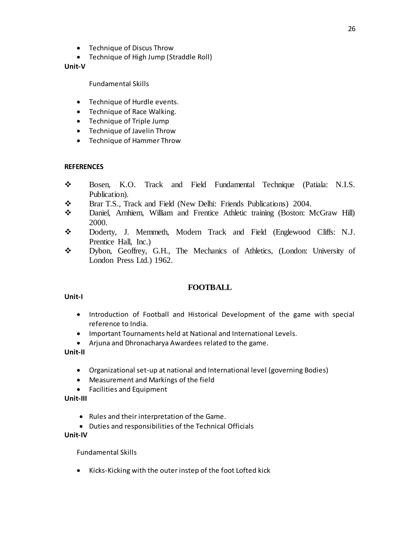- Technique of Discus Throw
- Technique of High Jump (Straddle Roll)

### **Unit-V**

Fundamental Skills

- Technique of Hurdle events.
- Technique of Race Walking.
- Technique of Triple Jump
- Technique of Javelin Throw
- Technique of Hammer Throw

## **REFERENCES**

- Bosen, K.O. Track and Field Fundamental Technique (Patiala: N.I.S. Publication).
- Brar T.S., Track and Field (New Delhi: Friends Publications) 2004.
- Daniel, Arnhiem, William and Frentice Athletic training (Boston: McGraw Hill) 2000.
- Doderty, J. Memmeth, Modern Track and Field (Englewood Cliffs: N.J. Prentice Hall, Inc.)
- Dybon, Geoffrey, G.H., The Mechanics of Athletics, (London: University of London Press Ltd.) 1962.

## **FOOTBALL**

#### **Unit-I**

- Introduction of Football and Historical Development of the game with special reference to India.
- Important Tournaments held at National and International Levels.
- Arjuna and Dhronacharya Awardees related to the game.

#### **Unit-II**

- Organizational set-up at national and International level (governing Bodies)
- Measurement and Markings of the field
- Facilities and Equipment

## **Unit-III**

- Rules and their interpretation of the Game.
- Duties and responsibilities of the Technical Officials

## **Unit-IV**

Fundamental Skills

• Kicks-Kicking with the outer instep of the foot Lofted kick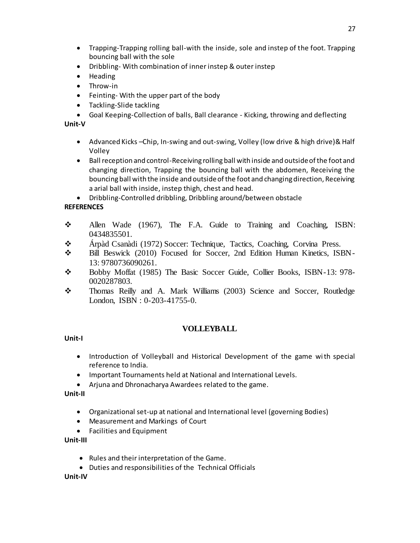- Trapping-Trapping rolling ball-with the inside, sole and instep of the foot. Trapping bouncing ball with the sole
- Dribbling- With combination of inner instep & outer instep
- Heading
- Throw-in
- Feinting- With the upper part of the body
- Tackling-Slide tackling
- Goal Keeping-Collection of balls, Ball clearance Kicking, throwing and deflecting

# **Unit-V**

- Advanced Kicks –Chip, In-swing and out-swing, Volley (low drive & high drive)& Half Volley
- Ball reception and control-Receiving rolling ball with inside and outside of the foot and changing direction, Trapping the bouncing ball with the abdomen, Receiving the bouncing ball with the inside and outside of the foot and changing direction, Receiving a arial ball with inside, instep thigh, chest and head.

Dribbling-Controlled dribbling, Dribbling around/between obstacle

# **REFERENCES**

- $\div$  Allen Wade (1967), The F.A. Guide to Training and Coaching, ISBN: 0434835501.
- Árpàd Csanàdi (1972) Soccer: Technique, Tactics, Coaching, Corvina Press.
- Bill Beswick (2010) Focused for Soccer, 2nd Edition Human Kinetics, ISBN-13: 9780736090261.
- Bobby Moffat (1985) The Basic Soccer Guide, Collier Books, ISBN-13: 978- 0020287803.
- Thomas Reilly and A. Mark Williams (2003) Science and Soccer, Routledge London, ISBN : 0-203-41755-0.

# **VOLLEYBALL**

# **Unit-I**

- Introduction of Volleyball and Historical Development of the game with special reference to India.
- Important Tournaments held at National and International Levels.
- Arjuna and Dhronacharya Awardees related to the game.

**Unit-II**

- Organizational set-up at national and International level (governing Bodies)
- Measurement and Markings of Court
- Facilities and Equipment

# **Unit-III**

- Rules and their interpretation of the Game.
- Duties and responsibilities of the Technical Officials

# **Unit-IV**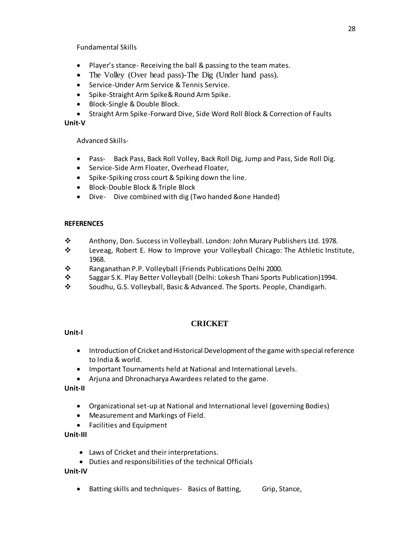Fundamental Skills

- Player's stance- Receiving the ball & passing to the team mates.
- The Volley (Over head pass)-The Dig (Under hand pass).
- Service-Under Arm Service & Tennis Service.
- Spike-Straight Arm Spike& Round Arm Spike.
- Block-Single & Double Block.
- Straight Arm Spike-Forward Dive, Side Word Roll Block & Correction of Faults

# **Unit-V**

Advanced Skills-

- Pass- Back Pass, Back Roll Volley, Back Roll Dig, Jump and Pass, Side Roll Dig.
- Service-Side Arm Floater, Overhead Floater,
- Spike-Spiking cross court & Spiking down the line.
- Block-Double Block & Triple Block
- Dive- Dive combined with dig (Two handed &one Handed)

# **REFERENCES**

- Anthony, Don. Success in Volleyball. London: John Murary Publishers Ltd. 1978.
- \* Leveag, Robert E. How to Improve your Volleyball Chicago: The Athletic Institute, 1968.
- Ranganathan P.P. Volleyball (Friends Publications Delhi 2000.
- Saggar S.K. Play Better Volleyball (Delhi: Lokesh Thani Sports Publication)1994.
- Soudhu, G.S. Volleyball, Basic & Advanced. The Sports. People, Chandigarh.

# **CRICKET**

# **Unit-I**

- Introduction of Cricket and Historical Development of the game with special reference to India & world.
- Important Tournaments held at National and International Levels.
- Arjuna and Dhronacharya Awardees related to the game.

**Unit-II**

- Organizational set-up at National and International level (governing Bodies)
- Measurement and Markings of Field.
- Facilities and Equipment

# **Unit-III**

- Laws of Cricket and their interpretations.
- Duties and responsibilities of the technical Officials

# **Unit-IV**

• Batting skills and techniques- Basics of Batting, Grip, Stance,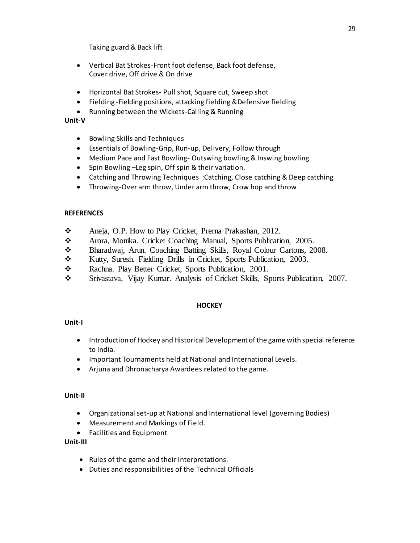Taking guard & Back lift

- Vertical Bat Strokes-Front foot defense, Back foot defense, Cover drive, Off drive & On drive
- Horizontal Bat Strokes- Pull shot, Square cut, Sweep shot
- Fielding -Fielding positions, attacking fielding &Defensive fielding
- Running between the Wickets-Calling & Running

## **Unit-V**

- Bowling Skills and Techniques
- Essentials of Bowling-Grip, Run-up, Delivery, Follow through
- Medium Pace and Fast Bowling- Outswing bowling & Inswing bowling
- Spin Bowling –Leg spin, Off spin & their variation.
- Catching and Throwing Techniques :Catching, Close catching & Deep catching
- Throwing-Over arm throw, Under arm throw, Crow hop and throw

## **REFERENCES**

- \* Aneja, O.P. How to Play Cricket, Prerna Prakashan, 2012.
- \* Arora, Monika. Cricket Coaching Manual, Sports Publication, 2005.
- Bharadwaj, Arun. Coaching Batting Skills, Royal Colour Cartons, 2008.
- \* Kutty, Suresh. Fielding Drills in Cricket, Sports Publication, 2003.
- \* Rachna. Play Better Cricket, Sports Publication, 2001.
- Srivastava, Vijay Kumar. Analysis of Cricket Skills, Sports Publication, 2007.

# **HOCKEY**

# **Unit-I**

- Introduction of Hockey and Historical Development of the game with special reference to India.
- Important Tournaments held at National and International Levels.
- Arjuna and Dhronacharya Awardees related to the game.

## **Unit-II**

- Organizational set-up at National and International level (governing Bodies)
- Measurement and Markings of Field.
- Facilities and Equipment

## **Unit-III**

- Rules of the game and their interpretations.
- Duties and responsibilities of the Technical Officials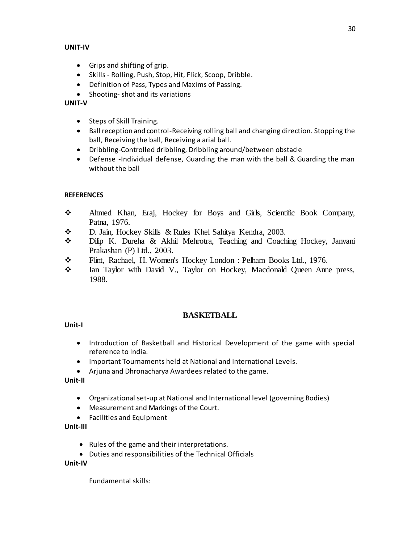## **UNIT-IV**

- Grips and shifting of grip.
- Skills Rolling, Push, Stop, Hit, Flick, Scoop, Dribble.
- Definition of Pass, Types and Maxims of Passing.
- Shooting- shot and its variations

## **UNIT-V**

- Steps of Skill Training.
- Ball reception and control-Receiving rolling ball and changing direction. Stopping the ball, Receiving the ball, Receiving a arial ball.
- Dribbling-Controlled dribbling, Dribbling around/between obstacle
- Defense -Individual defense, Guarding the man with the ball & Guarding the man without the ball

## **REFERENCES**

- Ahmed Khan, Eraj, Hockey for Boys and Girls, Scientific Book Company, Patna, 1976.
- D. Jain, Hockey Skills & Rules Khel Sahitya Kendra, 2003.
- Dilip K. Dureha & Akhil Mehrotra, Teaching and Coaching Hockey, Janvani Prakashan (P) Ltd., 2003.
- Flint, Rachael, H. Women's Hockey London : Pelham Books Ltd., 1976.
- \* Ian Taylor with David V., Taylor on Hockey, Macdonald Queen Anne press, 1988.

# **BASKETBALL**

## **Unit-I**

- Introduction of Basketball and Historical Development of the game with special reference to India.
- Important Tournaments held at National and International Levels.
- Arjuna and Dhronacharya Awardees related to the game.

# **Unit-II**

- Organizational set-up at National and International level (governing Bodies)
- Measurement and Markings of the Court.
- Facilities and Equipment

# **Unit-III**

- Rules of the game and their interpretations.
- Duties and responsibilities of the Technical Officials

## **Unit-IV**

Fundamental skills: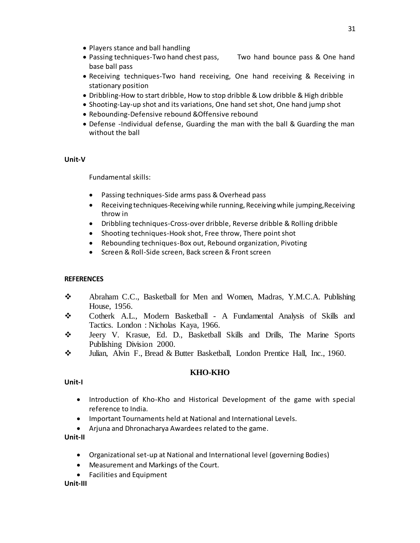- Players stance and ball handling
- Passing techniques-Two hand chest pass, Two hand bounce pass & One hand base ball pass
- Receiving techniques-Two hand receiving, One hand receiving & Receiving in stationary position
- Dribbling-How to start dribble, How to stop dribble & Low dribble & High dribble
- Shooting-Lay-up shot and its variations, One hand set shot, One hand jump shot
- Rebounding-Defensive rebound &Offensive rebound
- Defense -Individual defense, Guarding the man with the ball & Guarding the man without the ball

## **Unit-V**

Fundamental skills:

- Passing techniques-Side arms pass & Overhead pass
- Receiving techniques-Receiving while running, Receiving while jumping,Receiving throw in
- Dribbling techniques-Cross-over dribble, Reverse dribble & Rolling dribble
- Shooting techniques-Hook shot, Free throw, There point shot
- Rebounding techniques-Box out, Rebound organization, Pivoting
- Screen & Roll-Side screen, Back screen & Front screen

# **REFERENCES**

- Abraham C.C., Basketball for Men and Women, Madras, Y.M.C.A. Publishing House, 1956.
- Cotherk A.L., Modern Basketball A Fundamental Analysis of Skills and Tactics. London : Nicholas Kaya, 1966.
- Jeery V. Krasue, Ed. D., Basketball Skills and Drills, The Marine Sports Publishing Division 2000.
- Julian, Alvin F., Bread & Butter Basketball, London Prentice Hall, Inc., 1960.

# **KHO-KHO**

## **Unit-I**

- Introduction of Kho-Kho and Historical Development of the game with special reference to India.
- Important Tournaments held at National and International Levels.
- Arjuna and Dhronacharya Awardees related to the game.

**Unit-II**

- Organizational set-up at National and International level (governing Bodies)
- Measurement and Markings of the Court.
- Facilities and Equipment

## **Unit-III**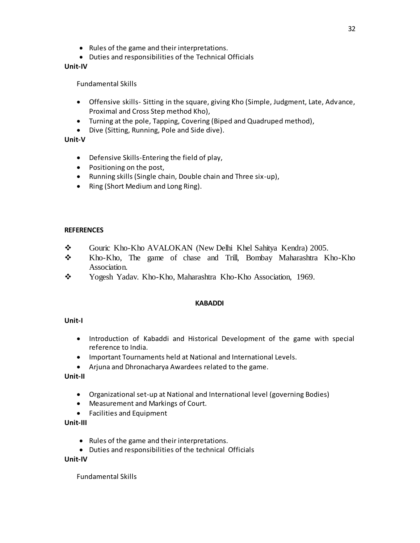- Rules of the game and their interpretations.
- Duties and responsibilities of the Technical Officials

# **Unit-IV**

Fundamental Skills

- Offensive skills- Sitting in the square, giving Kho (Simple, Judgment, Late, Advance, Proximal and Cross Step method Kho),
- Turning at the pole, Tapping, Covering (Biped and Quadruped method),
- Dive (Sitting, Running, Pole and Side dive).

# **Unit-V**

- Defensive Skills-Entering the field of play,
- Positioning on the post,
- Running skills (Single chain, Double chain and Three six-up),
- Ring (Short Medium and Long Ring).

# **REFERENCES**

- Gouric Kho-Kho AVALOKAN (New Delhi Khel Sahitya Kendra) 2005.
- Kho-Kho, The game of chase and Trill, Bombay Maharashtra Kho-Kho Association.
- \* Yogesh Yadav. Kho-Kho, Maharashtra Kho-Kho Association, 1969.

# **KABADDI**

# **Unit-I**

- Introduction of Kabaddi and Historical Development of the game with special reference to India.
- Important Tournaments held at National and International Levels.
- Arjuna and Dhronacharya Awardees related to the game.

# **Unit-II**

- Organizational set-up at National and International level (governing Bodies)
- Measurement and Markings of Court.
- Facilities and Equipment

# **Unit-III**

- Rules of the game and their interpretations.
- Duties and responsibilities of the technical Officials

## **Unit-IV**

Fundamental Skills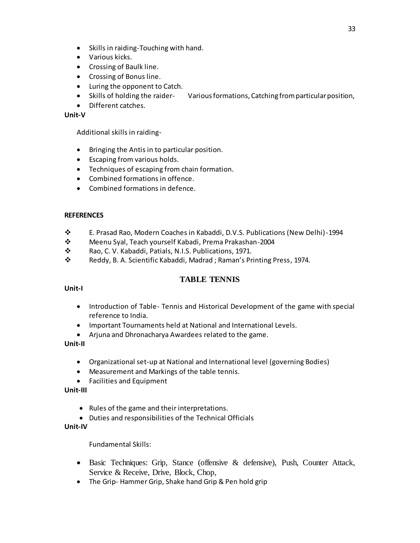- Skills in raiding-Touching with hand.
- Various kicks.
- Crossing of Baulk line.
- Crossing of Bonus line.
- Luring the opponent to Catch.
- Skills of holding the raider- Various formations, Catching from particular position,
- Different catches.

## **Unit-V**

Additional skills in raiding-

- Bringing the Antis in to particular position.
- Escaping from various holds.
- Techniques of escaping from chain formation.
- Combined formations in offence.
- Combined formations in defence.

## **REFERENCES**

- E. Prasad Rao, Modern Coaches in Kabaddi, D.V.S. Publications (New Delhi)-1994
- Meenu Syal, Teach yourself Kabadi, Prema Prakashan-2004
- **\*** Rao, C. V. Kabaddi, Patials, N.I.S. Publications, 1971.<br>**\*** Reddy, B. A. Scientific Kabaddi, Madrad : Raman's Pr
- Reddy, B. A. Scientific Kabaddi, Madrad ; Raman's Printing Press, 1974.

# **TABLE TENNIS**

## **Unit-I**

- Introduction of Table- Tennis and Historical Development of the game with special reference to India.
- Important Tournaments held at National and International Levels.
- Arjuna and Dhronacharya Awardees related to the game.

## **Unit-II**

- Organizational set-up at National and International level (governing Bodies)
- Measurement and Markings of the table tennis.
- Facilities and Equipment

## **Unit-III**

- Rules of the game and their interpretations.
- Duties and responsibilities of the Technical Officials

## **Unit-IV**

Fundamental Skills:

- Basic Techniques: Grip, Stance (offensive & defensive), Push, Counter Attack, Service & Receive, Drive, Block, Chop,
- The Grip-Hammer Grip, Shake hand Grip & Pen hold grip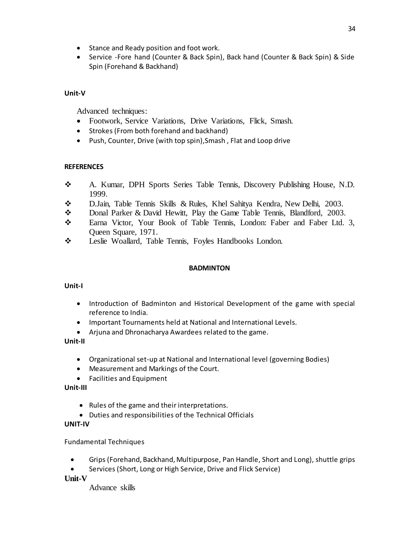- Stance and Ready position and foot work.
- Service -Fore hand (Counter & Back Spin), Back hand (Counter & Back Spin) & Side Spin (Forehand & Backhand)

# **Unit-V**

Advanced techniques:

- Footwork, Service Variations, Drive Variations, Flick, Smash.
- Strokes (From both forehand and backhand)
- Push, Counter, Drive (with top spin), Smash, Flat and Loop drive

# **REFERENCES**

- A. Kumar, DPH Sports Series Table Tennis, Discovery Publishing House, N.D. 1999.
- D.Jain, Table Tennis Skills & Rules, Khel Sahitya Kendra, New Delhi, 2003.
- Donal Parker & David Hewitt, Play the Game Table Tennis, Blandford, 2003.
- \* Earna Victor, Your Book of Table Tennis, London: Faber and Faber Ltd. 3, Queen Square, 1971.
- \* Leslie Woallard, Table Tennis, Foyles Handbooks London.

# **BADMINTON**

# **Unit-I**

- Introduction of Badminton and Historical Development of the game with special reference to India.
- Important Tournaments held at National and International Levels.
- Arjuna and Dhronacharya Awardees related to the game.

# **Unit-II**

- Organizational set-up at National and International level (governing Bodies)
- Measurement and Markings of the Court.
- Facilities and Equipment

# **Unit-III**

- Rules of the game and their interpretations.
- Duties and responsibilities of the Technical Officials

# **UNIT-IV**

# Fundamental Techniques

- Grips (Forehand, Backhand, Multipurpose, Pan Handle, Short and Long), shuttle grips
- Services (Short, Long or High Service, Drive and Flick Service)

# **Unit-V**

Advance skills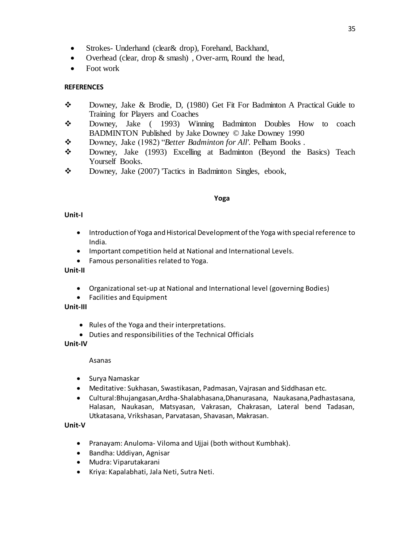- Strokes- Underhand (clear & drop), Forehand, Backhand,
- Overhead (clear, drop & smash), Over-arm, Round the head,
- Foot work

# **REFERENCES**

- Downey, Jake & Brodie, D, (1980) Get Fit For Badminton A Practical Guide to Training for Players and Coaches
- Downey, Jake ( 1993) Winning Badminton Doubles How to coach BADMINTON Published by Jake Downey © Jake Downey 1990
- Downey, Jake (1982) "*Better Badminton for All'.* Pelham Books .
- Downey, Jake (1993) Excelling at Badminton (Beyond the Basics) Teach Yourself Books.
- \* Downey, Jake (2007) Tactics in Badminton Singles, ebook,

#### **Yoga**

## **Unit-I**

- Introduction of Yoga and Historical Development of the Yoga with special reference to India.
- Important competition held at National and International Levels.
- Famous personalities related to Yoga.

#### **Unit-II**

- Organizational set-up at National and International level (governing Bodies)
- Facilities and Equipment

# **Unit-III**

- Rules of the Yoga and their interpretations.
- Duties and responsibilities of the Technical Officials

## **Unit-IV**

Asanas

- Surya Namaskar
- Meditative: Sukhasan, Swastikasan, Padmasan, Vajrasan and Siddhasan etc.
- Cultural:Bhujangasan,Ardha-Shalabhasana,Dhanurasana, Naukasana,Padhastasana, Halasan, Naukasan, Matsyasan, Vakrasan, Chakrasan, Lateral bend Tadasan, Utkatasana, Vrikshasan, Parvatasan, Shavasan, Makrasan.

## **Unit-V**

- Pranayam: Anuloma- Viloma and Ujjai (both without Kumbhak).
- Bandha: Uddiyan, Agnisar
- Mudra: Viparutakarani
- Kriya: Kapalabhati, Jala Neti, Sutra Neti.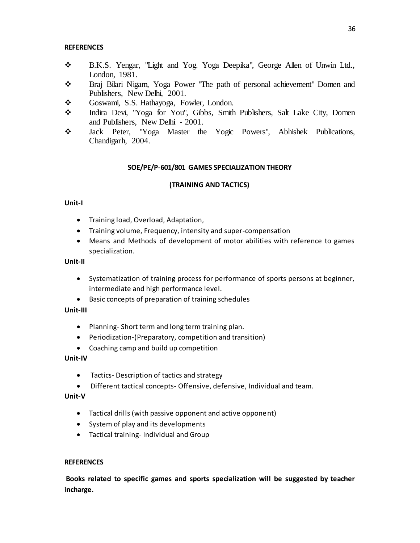## **REFERENCES**

- B.K.S. Yengar, "Light and Yog. Yoga Deepika", George Allen of Unwin Ltd., London, 1981.
- Braj Bilari Nigam, Yoga Power "The path of personal achievement" Domen and Publishers, New Delhi, 2001.
- \* Goswami, S.S. Hathayoga, Fowler, London.
- Indira Devi, "Yoga for You", Gibbs, Smith Publishers, Salt Lake City, Domen and Publishers, New Delhi - 2001.
- Jack Peter, "Yoga Master the Yogic Powers", Abhishek Publications, Chandigarh, 2004.

# **SOE/PE/P-601/801 GAMES SPECIALIZATION THEORY**

## **(TRAINING AND TACTICS)**

## **Unit-I**

- **•** Training load, Overload, Adaptation,
- Training volume, Frequency, intensity and super-compensation
- Means and Methods of development of motor abilities with reference to games specialization.

#### **Unit-II**

- Systematization of training process for performance of sports persons at beginner, intermediate and high performance level.
- Basic concepts of preparation of training schedules

## **Unit-III**

- Planning- Short term and long term training plan.
- Periodization-(Preparatory, competition and transition)
- Coaching camp and build up competition

## **Unit-IV**

- Tactics- Description of tactics and strategy
- Different tactical concepts- Offensive, defensive, Individual and team.

## **Unit-V**

- Tactical drills (with passive opponent and active opponent)
- System of play and its developments
- Tactical training- Individual and Group

## **REFERENCES**

**Books related to specific games and sports specialization will be suggested by teacher incharge.**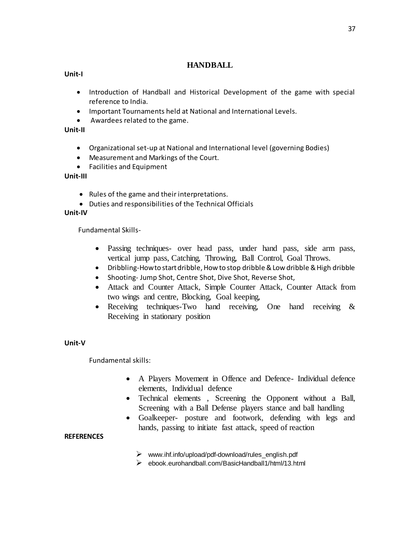# **HANDBALL**

# **Unit-I**

- Introduction of Handball and Historical Development of the game with special reference to India.
- Important Tournaments held at National and International Levels.
- Awardees related to the game.

# **Unit-II**

- Organizational set-up at National and International level (governing Bodies)
- Measurement and Markings of the Court.
- Facilities and Equipment

## **Unit-III**

- Rules of the game and their interpretations.
- Duties and responsibilities of the Technical Officials

## **Unit-IV**

Fundamental Skills-

- Passing techniques- over head pass, under hand pass, side arm pass, vertical jump pass, Catching, Throwing, Ball Control, Goal Throws.
- Dribbling-How to start dribble, How to stop dribble & Low dribble & High dribble
- Shooting- Jump Shot, Centre Shot, Dive Shot, Reverse Shot,
- Attack and Counter Attack, Simple Counter Attack, Counter Attack from two wings and centre, Blocking, Goal keeping,
- Receiving techniques-Two hand receiving, One hand receiving  $\&$ Receiving in stationary position

# **Unit-V**

Fundamental skills:

- A Players Movement in Offence and Defence- Individual defence elements, Individual defence
- Technical elements , Screening the Opponent without a Ball, Screening with a Ball Defense players stance and ball handling
- Goalkeeper- posture and footwork, defending with legs and hands, passing to initiate fast attack, speed of reaction

## **REFERENCES**

- $\triangleright$  www.ihf.info/upload/pdf-download/rules\_english.pdf
- ebook.eurohandball.com/BasicHandball1/html/13.html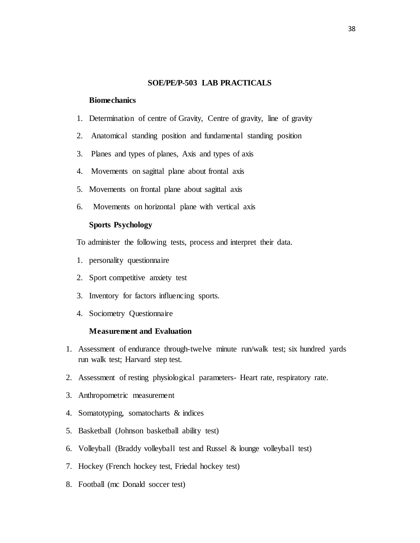## **SOE/PE/P-503 LAB PRACTICALS**

#### **Biomechanics**

- 1. Determination of centre of Gravity, Centre of gravity, line of gravity
- 2. Anatomical standing position and fundamental standing position
- 3. Planes and types of planes, Axis and types of axis
- 4. Movements on sagittal plane about frontal axis
- 5. Movements on frontal plane about sagittal axis
- 6. Movements on horizontal plane with vertical axis

### **Sports Psychology**

To administer the following tests, process and interpret their data.

- 1. personality questionnaire
- 2. Sport competitive anxiety test
- 3. Inventory for factors influencing sports.
- 4. Sociometry Questionnaire

## **Measurement and Evaluation**

- 1. Assessment of endurance through-twelve minute run/walk test; six hundred yards run walk test; Harvard step test.
- 2. Assessment of resting physiological parameters- Heart rate, respiratory rate.
- 3. Anthropometric measurement
- 4. Somatotyping, somatocharts & indices
- 5. Basketball (Johnson basketball ability test)
- 6. Volleyball (Braddy volleyball test and Russel & lounge volleyball test)
- 7. Hockey (French hockey test, Friedal hockey test)
- 8. Football (mc Donald soccer test)